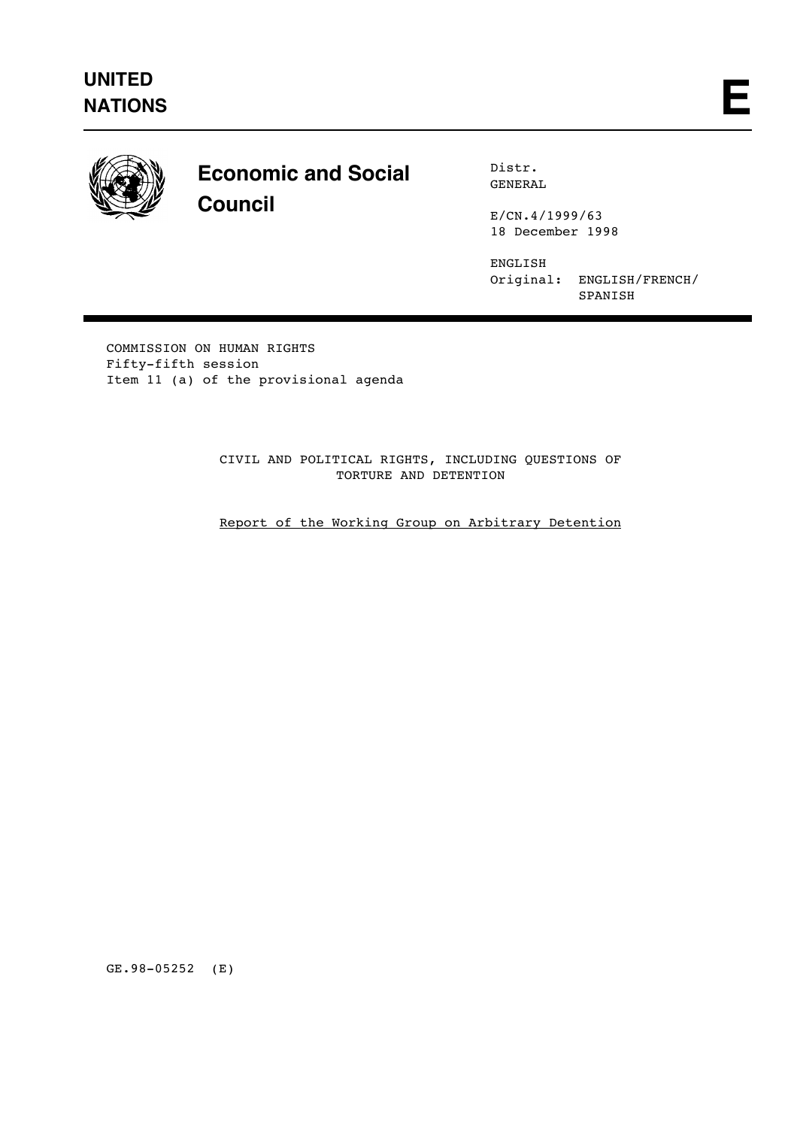

# **Economic and Social Council**

Distr. GENERAL

E/CN.4/1999/63 18 December 1998

ENGLISH Original: ENGLISH/FRENCH/ SPANISH

COMMISSION ON HUMAN RIGHTS Fifty-fifth session Item 11 (a) of the provisional agenda

> CIVIL AND POLITICAL RIGHTS, INCLUDING QUESTIONS OF TORTURE AND DETENTION

> Report of the Working Group on Arbitrary Detention

GE.98-05252 (E)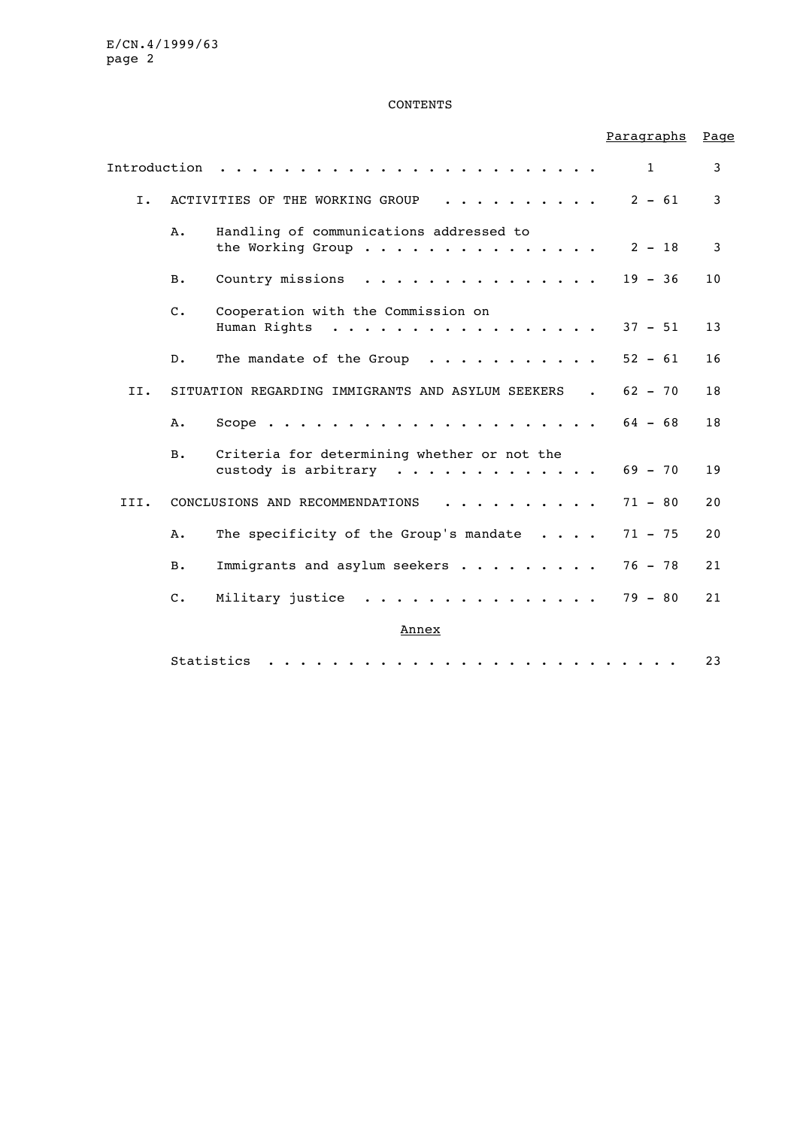#### CONTENTS

# Paragraphs Page Introduction  $\ldots \ldots \ldots \ldots \ldots \ldots \ldots$ I. ACTIVITIES OF THE WORKING GROUP .......... 2 - 61 3 A. Handling of communications addressed to the Working Group ............... 2 - 18 3 B. Country missions . . . . . . . . . . . . . . 19 - 36 10 C. Cooperation with the Commission on Human Rights . . . . . . . . . . . . . . . . 37 - 51 13 D. The mandate of the Group  $\ldots$ .......... 52 - 61 16 II. SITUATION REGARDING IMMIGRANTS AND ASYLUM SEEKERS . 62 - 70 18 A. Scope ..................... 64 - 68 18 B. Criteria for determining whether or not the custody is arbitrary  $\ldots \ldots \ldots \ldots$ . 69 - 70 19 III. CONCLUSIONS AND RECOMMENDATIONS . . . . . . . . . 71 - 80 20 A. The specificity of the Group's mandate . . . . 71 - 75 20 B. Immigrants and asylum seekers . . . . . . . . 76 - 78 21 C. Military justice . . . . . . . . . . . . . . 79 - 80 21 Annex Statistics .......................... 23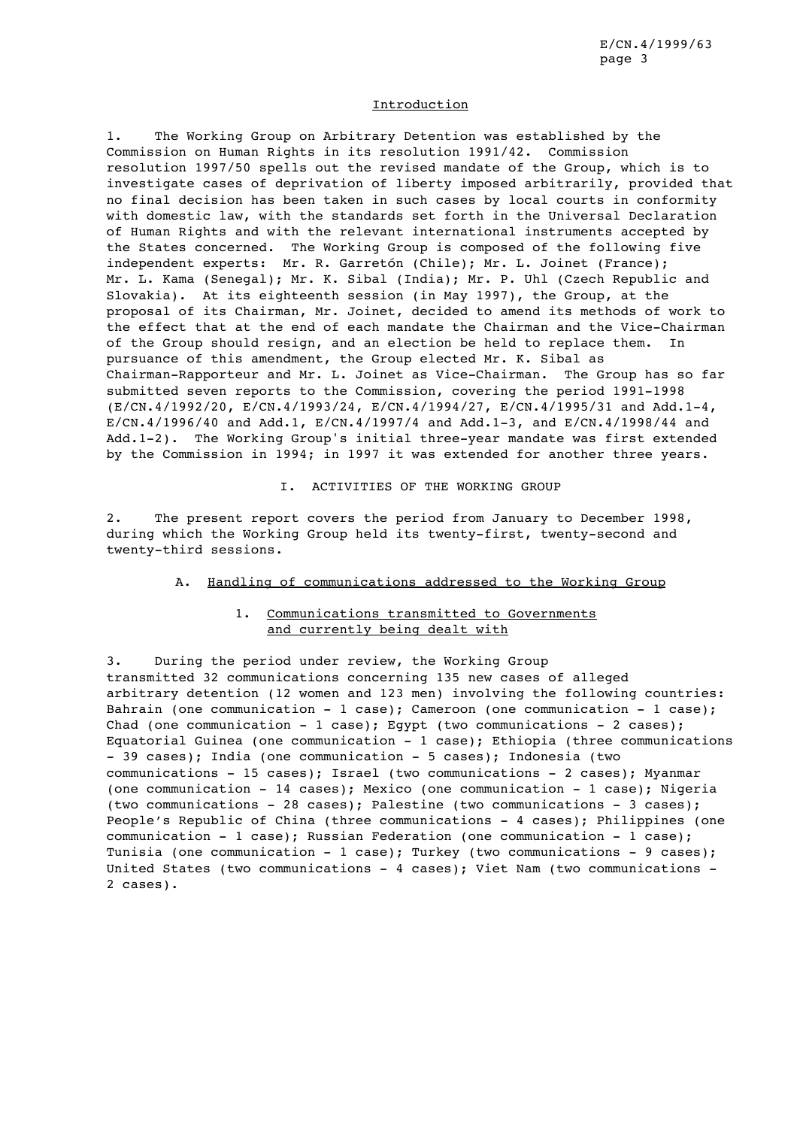#### **Introduction**

1. The Working Group on Arbitrary Detention was established by the Commission on Human Rights in its resolution 1991/42. Commission resolution 1997/50 spells out the revised mandate of the Group, which is to investigate cases of deprivation of liberty imposed arbitrarily, provided that no final decision has been taken in such cases by local courts in conformity with domestic law, with the standards set forth in the Universal Declaration of Human Rights and with the relevant international instruments accepted by the States concerned. The Working Group is composed of the following five independent experts: Mr. R. Garretón (Chile); Mr. L. Joinet (France); Mr. L. Kama (Senegal); Mr. K. Sibal (India); Mr. P. Uhl (Czech Republic and Slovakia). At its eighteenth session (in May 1997), the Group, at the proposal of its Chairman, Mr. Joinet, decided to amend its methods of work to the effect that at the end of each mandate the Chairman and the Vice-Chairman of the Group should resign, and an election be held to replace them. In pursuance of this amendment, the Group elected Mr. K. Sibal as Chairman-Rapporteur and Mr. L. Joinet as Vice-Chairman. The Group has so far submitted seven reports to the Commission, covering the period 1991-1998 (E/CN.4/1992/20, E/CN.4/1993/24, E/CN.4/1994/27, E/CN.4/1995/31 and Add.1-4, E/CN.4/1996/40 and Add.1, E/CN.4/1997/4 and Add.1-3, and E/CN.4/1998/44 and Add.1-2). The Working Group's initial three-year mandate was first extended by the Commission in 1994; in 1997 it was extended for another three years.

## I. ACTIVITIES OF THE WORKING GROUP

2. The present report covers the period from January to December 1998, during which the Working Group held its twenty-first, twenty-second and twenty-third sessions.

#### A. Handling of communications addressed to the Working Group

## 1. Communications transmitted to Governments and currently being dealt with

3. During the period under review, the Working Group transmitted 32 communications concerning 135 new cases of alleged arbitrary detention (12 women and 123 men) involving the following countries: Bahrain (one communication - 1 case); Cameroon (one communication - 1 case); Chad (one communication - 1 case); Eqypt (two communications - 2 cases); Equatorial Guinea (one communication - 1 case); Ethiopia (three communications - 39 cases); India (one communication - 5 cases); Indonesia (two communications - 15 cases); Israel (two communications - 2 cases); Myanmar (one communication - 14 cases); Mexico (one communication - 1 case); Nigeria (two communications - 28 cases); Palestine (two communications - 3 cases); People's Republic of China (three communications - 4 cases); Philippines (one communication - 1 case); Russian Federation (one communication - 1 case); Tunisia (one communication - 1 case); Turkey (two communications - 9 cases); United States (two communications - 4 cases); Viet Nam (two communications - 2 cases).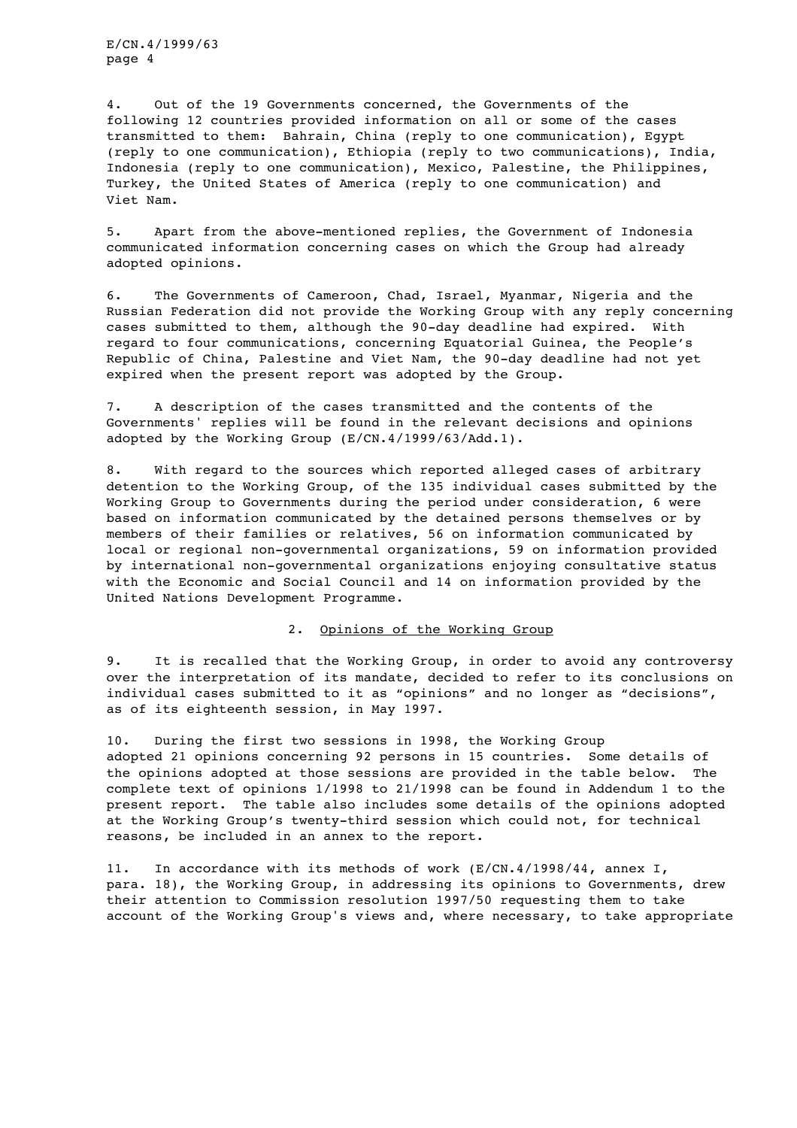4. Out of the 19 Governments concerned, the Governments of the following 12 countries provided information on all or some of the cases transmitted to them: Bahrain, China (reply to one communication), Egypt (reply to one communication), Ethiopia (reply to two communications), India, Indonesia (reply to one communication), Mexico, Palestine, the Philippines, Turkey, the United States of America (reply to one communication) and Viet Nam.

5. Apart from the above-mentioned replies, the Government of Indonesia communicated information concerning cases on which the Group had already adopted opinions.

6. The Governments of Cameroon, Chad, Israel, Myanmar, Nigeria and the Russian Federation did not provide the Working Group with any reply concerning cases submitted to them, although the 90-day deadline had expired. With regard to four communications, concerning Equatorial Guinea, the People's Republic of China, Palestine and Viet Nam, the 90-day deadline had not yet expired when the present report was adopted by the Group.

7. A description of the cases transmitted and the contents of the Governments' replies will be found in the relevant decisions and opinions adopted by the Working Group (E/CN.4/1999/63/Add.1).

8. With regard to the sources which reported alleged cases of arbitrary detention to the Working Group, of the 135 individual cases submitted by the Working Group to Governments during the period under consideration, 6 were based on information communicated by the detained persons themselves or by members of their families or relatives, 56 on information communicated by local or regional non-governmental organizations, 59 on information provided by international non-governmental organizations enjoying consultative status with the Economic and Social Council and 14 on information provided by the United Nations Development Programme.

## 2. Opinions of the Working Group

9. It is recalled that the Working Group, in order to avoid any controversy over the interpretation of its mandate, decided to refer to its conclusions on individual cases submitted to it as "opinions" and no longer as "decisions", as of its eighteenth session, in May 1997.

10. During the first two sessions in 1998, the Working Group adopted 21 opinions concerning 92 persons in 15 countries. Some details of the opinions adopted at those sessions are provided in the table below. The complete text of opinions 1/1998 to 21/1998 can be found in Addendum 1 to the present report. The table also includes some details of the opinions adopted at the Working Group's twenty-third session which could not, for technical reasons, be included in an annex to the report.

11. In accordance with its methods of work (E/CN.4/1998/44, annex I, para. 18), the Working Group, in addressing its opinions to Governments, drew their attention to Commission resolution 1997/50 requesting them to take account of the Working Group's views and, where necessary, to take appropriate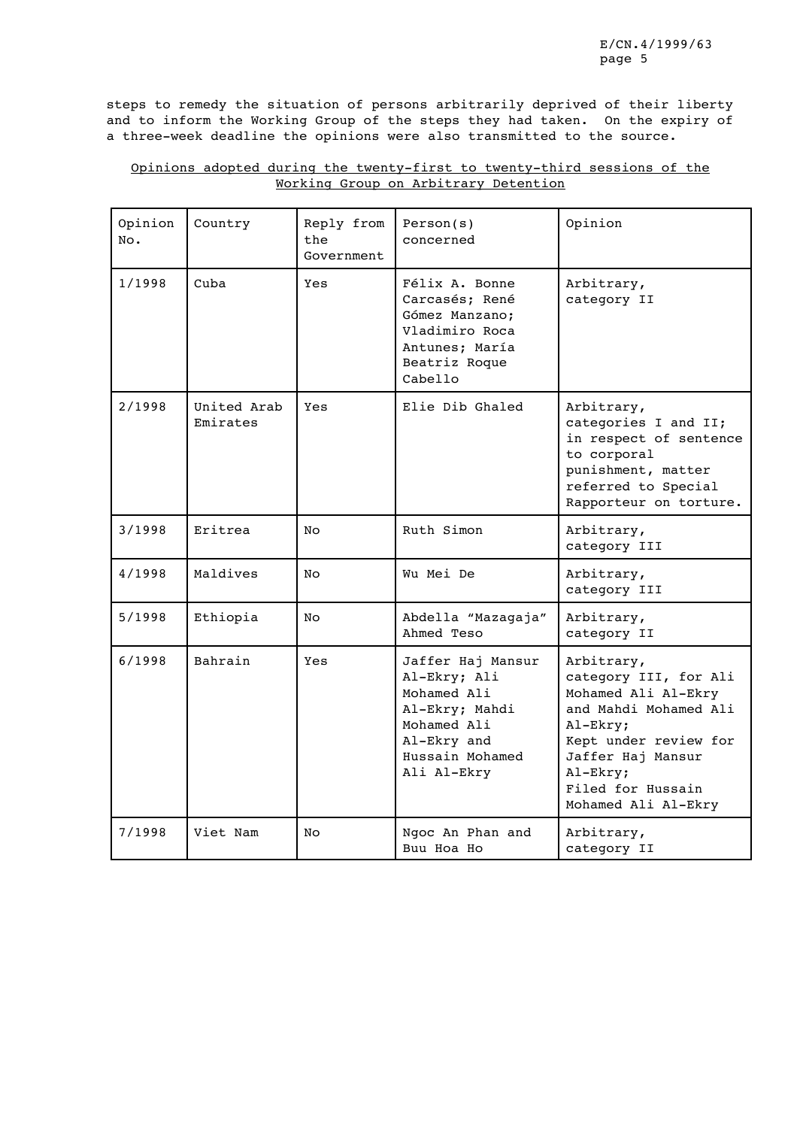steps to remedy the situation of persons arbitrarily deprived of their liberty and to inform the Working Group of the steps they had taken. On the expiry of a three-week deadline the opinions were also transmitted to the source.

| Opinion<br>No. | Country                 | Reply from<br>the<br>Government | Person(s)<br>concerned                                                                                                             | Opinion                                                                                                                                                                                               |  |
|----------------|-------------------------|---------------------------------|------------------------------------------------------------------------------------------------------------------------------------|-------------------------------------------------------------------------------------------------------------------------------------------------------------------------------------------------------|--|
| 1/1998         | Cuba                    | Yes                             | Félix A. Bonne<br>Carcasés; René<br>Gómez Manzano;<br>Vladimiro Roca<br>Antunes; María<br>Beatriz Roque<br>Cabello                 | Arbitrary,<br>category II                                                                                                                                                                             |  |
| 2/1998         | United Arab<br>Emirates | Yes                             | Elie Dib Ghaled                                                                                                                    | Arbitrary,<br>categories I and II;<br>in respect of sentence<br>to corporal<br>punishment, matter<br>referred to Special<br>Rapporteur on torture.                                                    |  |
| 3/1998         | Eritrea                 | No.                             | Ruth Simon                                                                                                                         | Arbitrary,<br>category III                                                                                                                                                                            |  |
| 4/1998         | Maldives                | No.                             | Wu Mei De                                                                                                                          | Arbitrary,<br>category III                                                                                                                                                                            |  |
| 5/1998         | Ethiopia                | No.                             | Abdella "Mazagaja"<br>Ahmed Teso                                                                                                   | Arbitrary,<br>category II                                                                                                                                                                             |  |
| 6/1998         | Bahrain                 | Yes                             | Jaffer Haj Mansur<br>Al-Ekry; Ali<br>Mohamed Ali<br>Al-Ekry; Mahdi<br>Mohamed Ali<br>Al-Ekry and<br>Hussain Mohamed<br>Ali Al-Ekry | Arbitrary,<br>category III, for Ali<br>Mohamed Ali Al-Ekry<br>and Mahdi Mohamed Ali<br>Al-Ekry;<br>Kept under review for<br>Jaffer Haj Mansur<br>Al-Ekry;<br>Filed for Hussain<br>Mohamed Ali Al-Ekry |  |
| 7/1998         | Viet Nam                | No                              | Ngoc An Phan and<br>Buu Hoa Ho                                                                                                     | Arbitrary,<br>category II                                                                                                                                                                             |  |

# Opinions adopted during the twenty-first to twenty-third sessions of the Working Group on Arbitrary Detention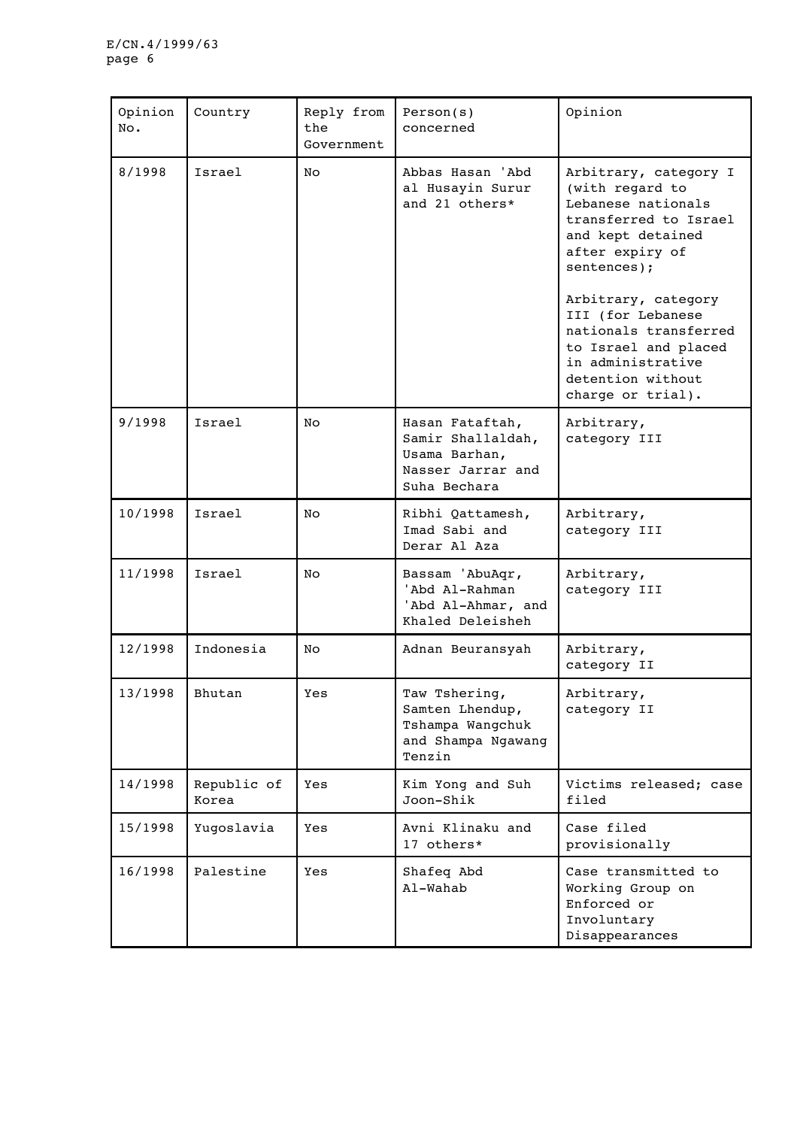| Opinion<br>No. | Country              | Reply from<br>the<br>Government | Person(s)<br>concerned                                                                     | Opinion                                                                                                                                                                                                                                                                                                    |  |
|----------------|----------------------|---------------------------------|--------------------------------------------------------------------------------------------|------------------------------------------------------------------------------------------------------------------------------------------------------------------------------------------------------------------------------------------------------------------------------------------------------------|--|
| 8/1998         | Israel               | No                              | Abbas Hasan 'Abd<br>al Husayin Surur<br>and 21 others*                                     | Arbitrary, category I<br>(with regard to<br>Lebanese nationals<br>transferred to Israel<br>and kept detained<br>after expiry of<br>sentences);<br>Arbitrary, category<br>III (for Lebanese<br>nationals transferred<br>to Israel and placed<br>in administrative<br>detention without<br>charge or trial). |  |
| 9/1998         | Israel               | No                              | Hasan Fataftah,<br>Samir Shallaldah,<br>Usama Barhan,<br>Nasser Jarrar and<br>Suha Bechara | Arbitrary,<br>category III                                                                                                                                                                                                                                                                                 |  |
| 10/1998        | Israel               | No                              | Ribhi Qattamesh,<br>Imad Sabi and<br>Derar Al Aza                                          | Arbitrary,<br>category III                                                                                                                                                                                                                                                                                 |  |
| 11/1998        | Israel               | No                              | Bassam 'AbuAqr,<br>'Abd Al-Rahman<br>'Abd Al-Ahmar, and<br>Khaled Deleisheh                | Arbitrary,<br>category III                                                                                                                                                                                                                                                                                 |  |
| 12/1998        | Indonesia            | No                              | Adnan Beuransyah                                                                           | Arbitrary,<br>category II                                                                                                                                                                                                                                                                                  |  |
| 13/1998        | Bhutan               | Yes                             | Taw Tshering,<br>Samten Lhendup,<br>Tshampa Wangchuk<br>and Shampa Ngawang<br>Tenzin       | Arbitrary,<br>category II                                                                                                                                                                                                                                                                                  |  |
| 14/1998        | Republic of<br>Korea | Yes                             | Kim Yong and Suh<br>Joon-Shik                                                              | Victims released; case<br>filed                                                                                                                                                                                                                                                                            |  |
| 15/1998        | Yugoslavia           | Yes                             | Avni Klinaku and<br>17 others*                                                             | Case filed<br>provisionally                                                                                                                                                                                                                                                                                |  |
| 16/1998        | Palestine            | Yes                             | Shafeq Abd<br>Al-Wahab                                                                     | Case transmitted to<br>Working Group on<br>Enforced or<br>Involuntary<br>Disappearances                                                                                                                                                                                                                    |  |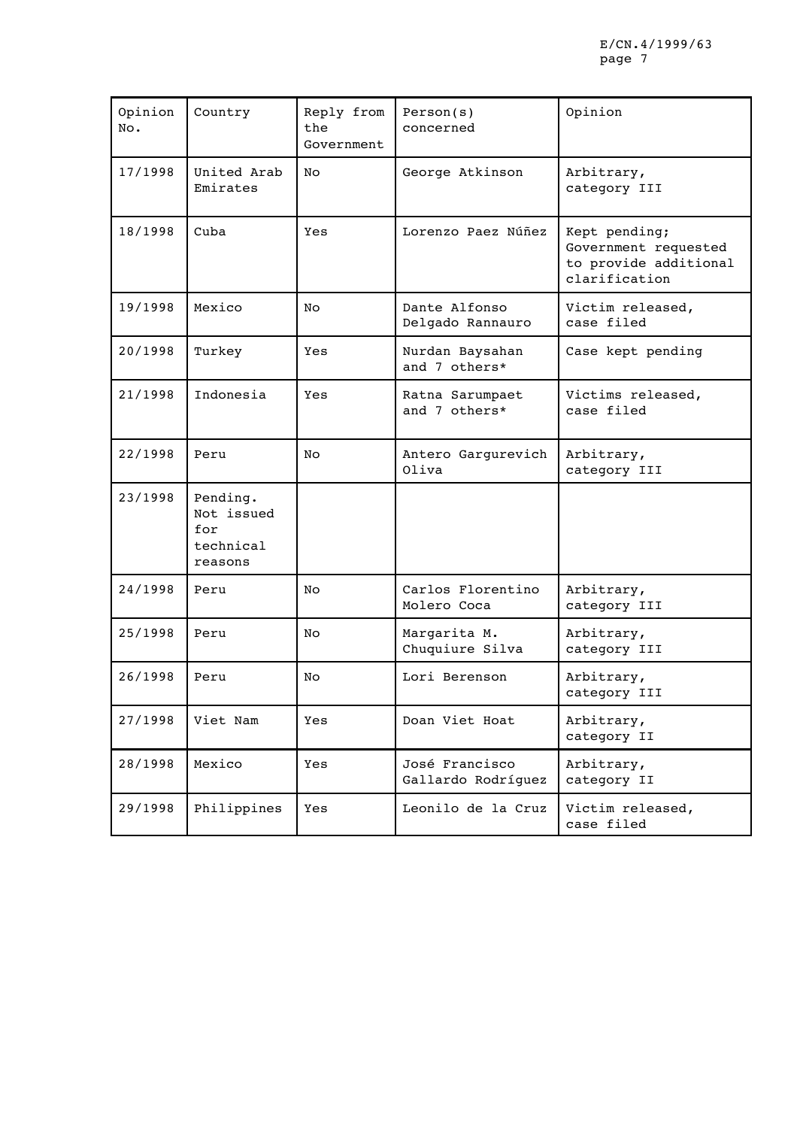| Opinion<br>No. | Country                                               | Reply from<br>the<br>Government | Person(s)<br>concerned               | Opinion                                                                         |
|----------------|-------------------------------------------------------|---------------------------------|--------------------------------------|---------------------------------------------------------------------------------|
| 17/1998        | United Arab<br>Emirates                               | No                              | George Atkinson                      | Arbitrary,<br>category III                                                      |
| 18/1998        | Cuba                                                  | Yes                             | Lorenzo Paez Núñez                   | Kept pending;<br>Government requested<br>to provide additional<br>clarification |
| 19/1998        | Mexico                                                | No                              | Dante Alfonso<br>Delgado Rannauro    | Victim released,<br>case filed                                                  |
| 20/1998        | Turkey                                                | Yes                             | Nurdan Baysahan<br>and 7 others*     | Case kept pending                                                               |
| 21/1998        | Indonesia                                             | Yes                             | Ratna Sarumpaet<br>and 7 others*     | Victims released,<br>case filed                                                 |
| 22/1998        | Peru                                                  | No                              | Antero Gargurevich<br>Oliva          | Arbitrary,<br>category III                                                      |
| 23/1998        | Pending.<br>Not issued<br>for<br>technical<br>reasons |                                 |                                      |                                                                                 |
| 24/1998        | Peru                                                  | No                              | Carlos Florentino<br>Molero Coca     | Arbitrary,<br>category III                                                      |
| 25/1998        | Peru                                                  | No                              | Margarita M.<br>Chuquiure Silva      | Arbitrary,<br>category III                                                      |
| 26/1998        | Peru                                                  | No                              | Lori Berenson                        | Arbitrary,<br>category III                                                      |
| 27/1998        | Viet Nam                                              | Yes                             | Doan Viet Hoat                       | Arbitrary,<br>category II                                                       |
| 28/1998        | Mexico                                                | Yes                             | José Francisco<br>Gallardo Rodríquez | Arbitrary,<br>category II                                                       |
| 29/1998        | Philippines                                           | Yes                             | Leonilo de la Cruz                   | Victim released,<br>case filed                                                  |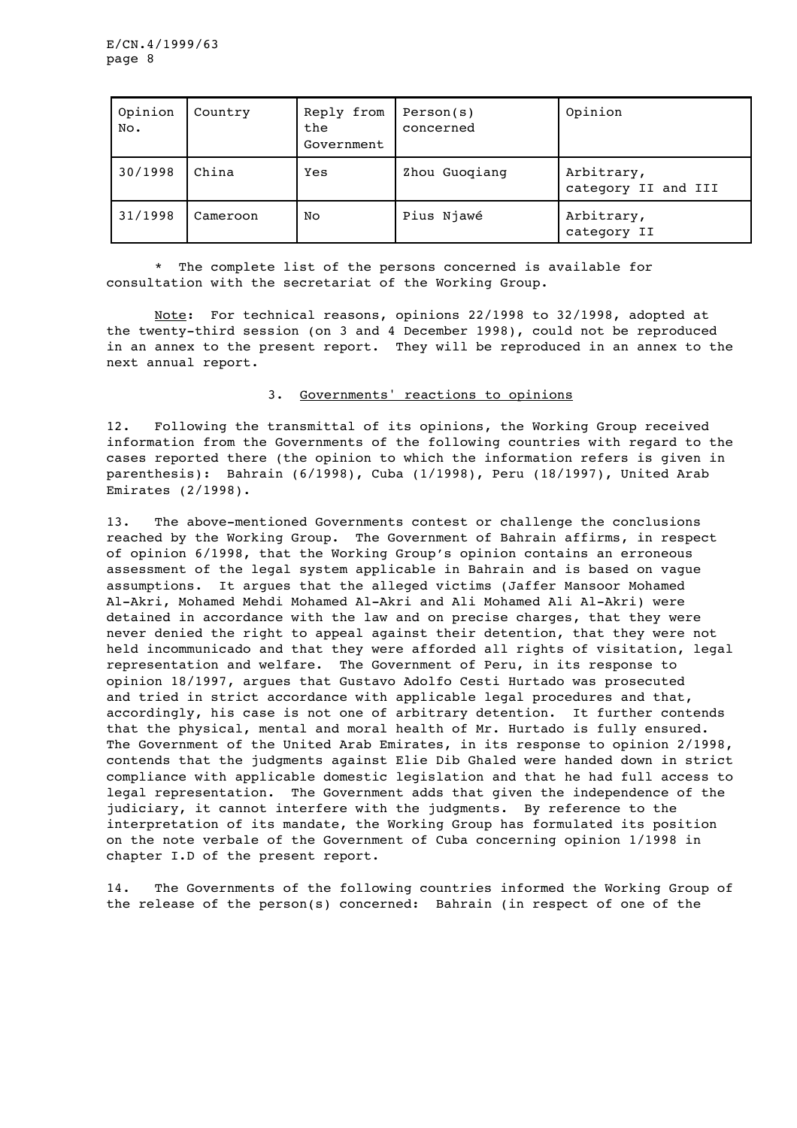| Opinion<br>No. | Country  | Reply from<br>the<br>Government | Person(s)<br>concerned | Opinion                           |
|----------------|----------|---------------------------------|------------------------|-----------------------------------|
| 30/1998        | China    | Yes                             | Zhou Guogiang          | Arbitrary,<br>category II and III |
| 31/1998        | Cameroon | No                              | Pius Njawé             | Arbitrary,<br>category II         |

\* The complete list of the persons concerned is available for consultation with the secretariat of the Working Group.

Note: For technical reasons, opinions 22/1998 to 32/1998, adopted at the twenty-third session (on 3 and 4 December 1998), could not be reproduced in an annex to the present report. They will be reproduced in an annex to the next annual report.

#### 3. Governments' reactions to opinions

12. Following the transmittal of its opinions, the Working Group received information from the Governments of the following countries with regard to the cases reported there (the opinion to which the information refers is given in parenthesis): Bahrain (6/1998), Cuba (1/1998), Peru (18/1997), United Arab Emirates (2/1998).

13. The above-mentioned Governments contest or challenge the conclusions reached by the Working Group. The Government of Bahrain affirms, in respect of opinion 6/1998, that the Working Group's opinion contains an erroneous assessment of the legal system applicable in Bahrain and is based on vague assumptions. It argues that the alleged victims (Jaffer Mansoor Mohamed Al-Akri, Mohamed Mehdi Mohamed Al-Akri and Ali Mohamed Ali Al-Akri) were detained in accordance with the law and on precise charges, that they were never denied the right to appeal against their detention, that they were not held incommunicado and that they were afforded all rights of visitation, legal representation and welfare. The Government of Peru, in its response to opinion 18/1997, argues that Gustavo Adolfo Cesti Hurtado was prosecuted and tried in strict accordance with applicable legal procedures and that, accordingly, his case is not one of arbitrary detention. It further contends that the physical, mental and moral health of Mr. Hurtado is fully ensured. The Government of the United Arab Emirates, in its response to opinion 2/1998, contends that the judgments against Elie Dib Ghaled were handed down in strict compliance with applicable domestic legislation and that he had full access to legal representation. The Government adds that given the independence of the judiciary, it cannot interfere with the judgments. By reference to the interpretation of its mandate, the Working Group has formulated its position on the note verbale of the Government of Cuba concerning opinion 1/1998 in chapter I.D of the present report.

14. The Governments of the following countries informed the Working Group of the release of the person(s) concerned: Bahrain (in respect of one of the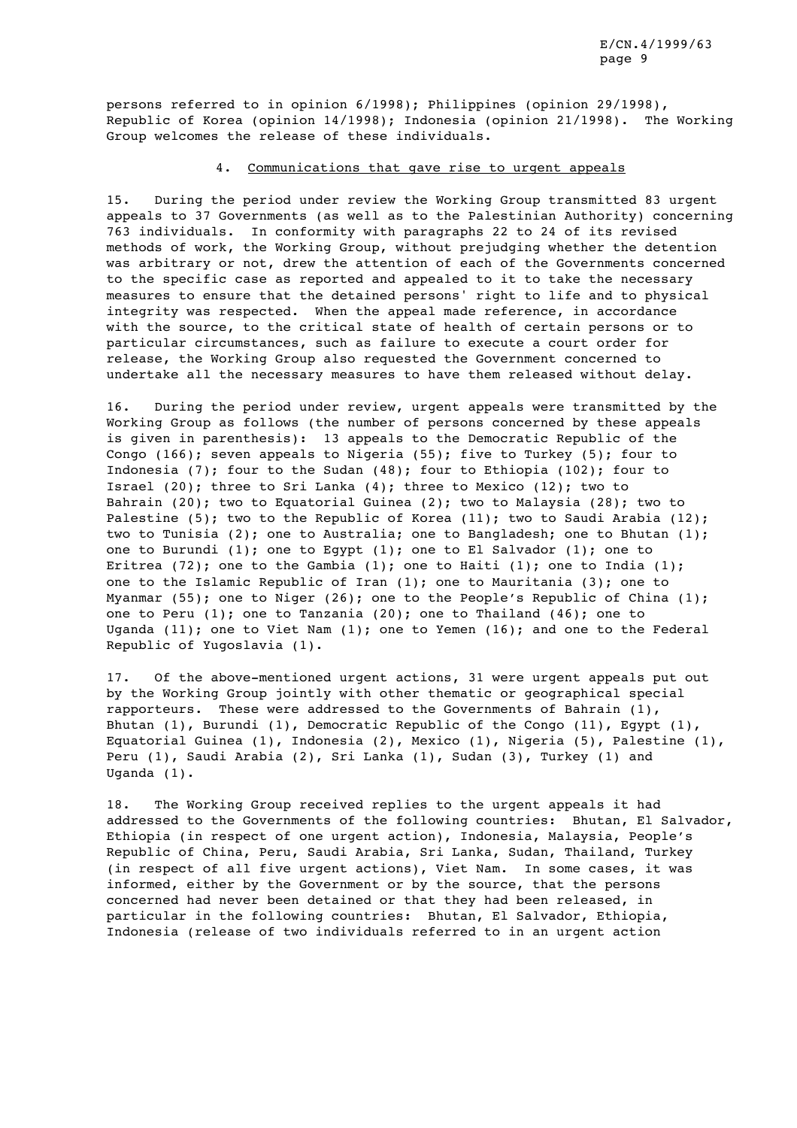persons referred to in opinion 6/1998); Philippines (opinion 29/1998), Republic of Korea (opinion 14/1998); Indonesia (opinion 21/1998). The Working Group welcomes the release of these individuals.

## 4. Communications that gave rise to urgent appeals

15. During the period under review the Working Group transmitted 83 urgent appeals to 37 Governments (as well as to the Palestinian Authority) concerning 763 individuals. In conformity with paragraphs 22 to 24 of its revised methods of work, the Working Group, without prejudging whether the detention was arbitrary or not, drew the attention of each of the Governments concerned to the specific case as reported and appealed to it to take the necessary measures to ensure that the detained persons' right to life and to physical integrity was respected. When the appeal made reference, in accordance with the source, to the critical state of health of certain persons or to particular circumstances, such as failure to execute a court order for release, the Working Group also requested the Government concerned to undertake all the necessary measures to have them released without delay.

16. During the period under review, urgent appeals were transmitted by the Working Group as follows (the number of persons concerned by these appeals is given in parenthesis): 13 appeals to the Democratic Republic of the Congo (166); seven appeals to Nigeria (55); five to Turkey (5); four to Indonesia (7); four to the Sudan (48); four to Ethiopia (102); four to Israel (20); three to Sri Lanka (4); three to Mexico (12); two to Bahrain (20); two to Equatorial Guinea (2); two to Malaysia (28); two to Palestine (5); two to the Republic of Korea (11); two to Saudi Arabia (12); two to Tunisia (2); one to Australia; one to Bangladesh; one to Bhutan (1); one to Burundi (1); one to Egypt (1); one to El Salvador (1); one to Eritrea (72); one to the Gambia (1); one to Haiti (1); one to India (1); one to the Islamic Republic of Iran (1); one to Mauritania (3); one to Myanmar (55); one to Niger (26); one to the People's Republic of China (1); one to Peru (1); one to Tanzania (20); one to Thailand (46); one to Uganda (11); one to Viet Nam  $(1)$ ; one to Yemen  $(16)$ ; and one to the Federal Republic of Yugoslavia (1).

17. Of the above-mentioned urgent actions, 31 were urgent appeals put out by the Working Group jointly with other thematic or geographical special rapporteurs. These were addressed to the Governments of Bahrain (1), Bhutan (1), Burundi (1), Democratic Republic of the Congo (11), Egypt (1), Equatorial Guinea (1), Indonesia (2), Mexico (1), Nigeria (5), Palestine (1), Peru (1), Saudi Arabia (2), Sri Lanka (1), Sudan (3), Turkey (1) and Uganda (1).

18. The Working Group received replies to the urgent appeals it had addressed to the Governments of the following countries: Bhutan, El Salvador, Ethiopia (in respect of one urgent action), Indonesia, Malaysia, People's Republic of China, Peru, Saudi Arabia, Sri Lanka, Sudan, Thailand, Turkey (in respect of all five urgent actions), Viet Nam. In some cases, it was informed, either by the Government or by the source, that the persons concerned had never been detained or that they had been released, in particular in the following countries: Bhutan, El Salvador, Ethiopia, Indonesia (release of two individuals referred to in an urgent action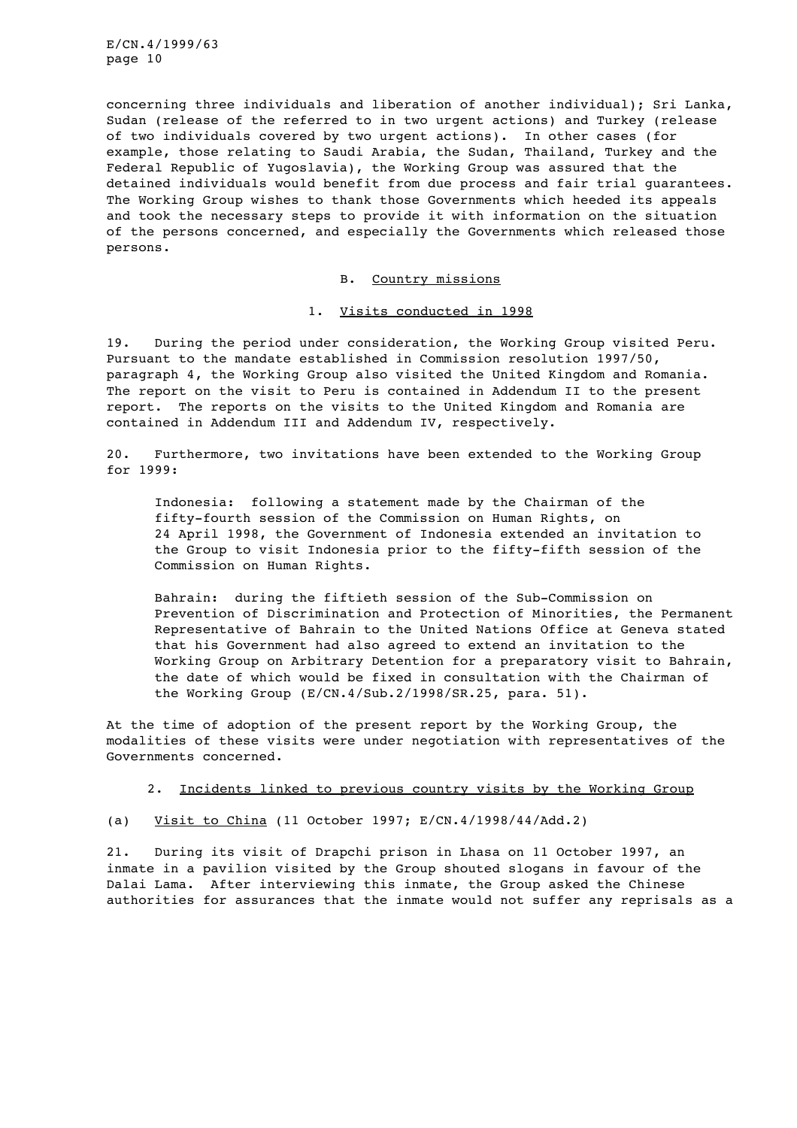concerning three individuals and liberation of another individual); Sri Lanka, Sudan (release of the referred to in two urgent actions) and Turkey (release of two individuals covered by two urgent actions). In other cases (for example, those relating to Saudi Arabia, the Sudan, Thailand, Turkey and the Federal Republic of Yugoslavia), the Working Group was assured that the detained individuals would benefit from due process and fair trial guarantees. The Working Group wishes to thank those Governments which heeded its appeals and took the necessary steps to provide it with information on the situation of the persons concerned, and especially the Governments which released those persons.

B. Country missions

1. Visits conducted in 1998

19. During the period under consideration, the Working Group visited Peru. Pursuant to the mandate established in Commission resolution 1997/50, paragraph 4, the Working Group also visited the United Kingdom and Romania. The report on the visit to Peru is contained in Addendum II to the present report. The reports on the visits to the United Kingdom and Romania are contained in Addendum III and Addendum IV, respectively.

20. Furthermore, two invitations have been extended to the Working Group for 1999:

Indonesia: following a statement made by the Chairman of the fifty-fourth session of the Commission on Human Rights, on 24 April 1998, the Government of Indonesia extended an invitation to the Group to visit Indonesia prior to the fifty-fifth session of the Commission on Human Rights.

Bahrain: during the fiftieth session of the Sub-Commission on Prevention of Discrimination and Protection of Minorities, the Permanent Representative of Bahrain to the United Nations Office at Geneva stated that his Government had also agreed to extend an invitation to the Working Group on Arbitrary Detention for a preparatory visit to Bahrain, the date of which would be fixed in consultation with the Chairman of the Working Group (E/CN.4/Sub.2/1998/SR.25, para. 51).

At the time of adoption of the present report by the Working Group, the modalities of these visits were under negotiation with representatives of the Governments concerned.

2. Incidents linked to previous country visits by the Working Group

(a) Visit to China (11 October 1997; E/CN.4/1998/44/Add.2)

21. During its visit of Drapchi prison in Lhasa on 11 October 1997, an inmate in a pavilion visited by the Group shouted slogans in favour of the Dalai Lama. After interviewing this inmate, the Group asked the Chinese authorities for assurances that the inmate would not suffer any reprisals as a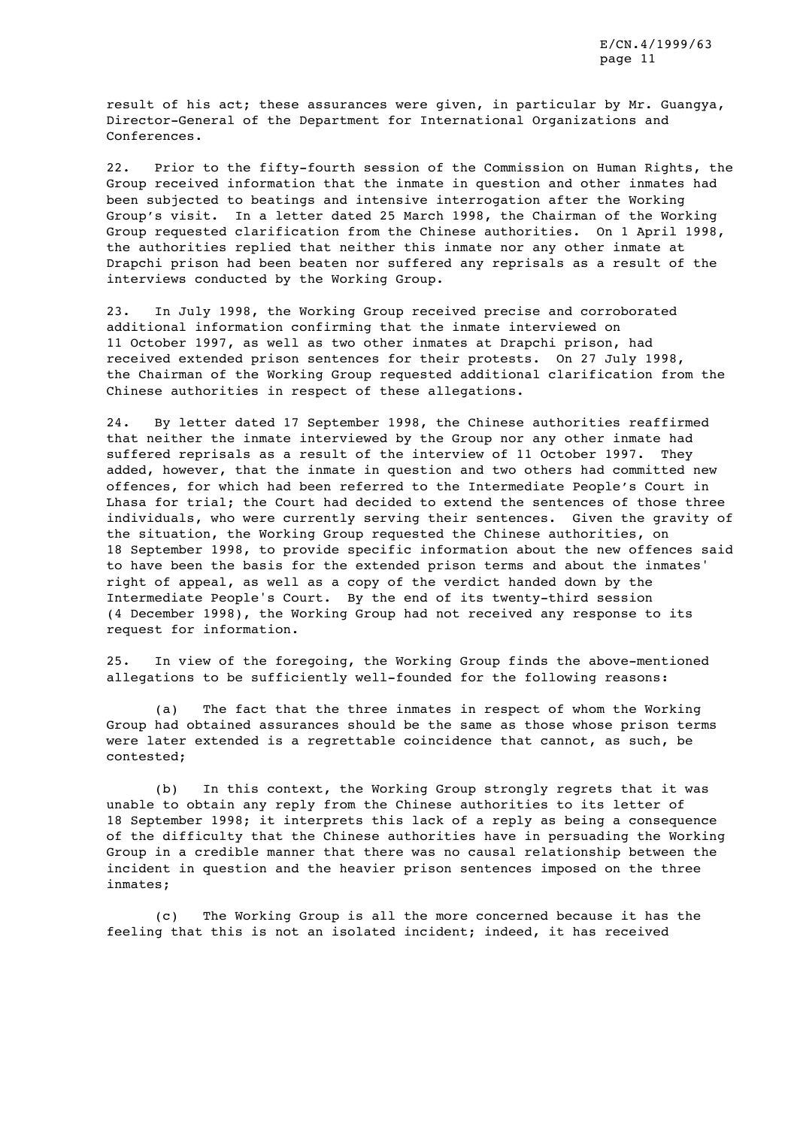result of his act; these assurances were given, in particular by Mr. Guangya, Director-General of the Department for International Organizations and Conferences.

22. Prior to the fifty-fourth session of the Commission on Human Rights, the Group received information that the inmate in question and other inmates had been subjected to beatings and intensive interrogation after the Working Group's visit. In a letter dated 25 March 1998, the Chairman of the Working Group requested clarification from the Chinese authorities. On 1 April 1998, the authorities replied that neither this inmate nor any other inmate at Drapchi prison had been beaten nor suffered any reprisals as a result of the interviews conducted by the Working Group.

23. In July 1998, the Working Group received precise and corroborated additional information confirming that the inmate interviewed on 11 October 1997, as well as two other inmates at Drapchi prison, had received extended prison sentences for their protests. On 27 July 1998, the Chairman of the Working Group requested additional clarification from the Chinese authorities in respect of these allegations.

24. By letter dated 17 September 1998, the Chinese authorities reaffirmed that neither the inmate interviewed by the Group nor any other inmate had suffered reprisals as a result of the interview of 11 October 1997. They added, however, that the inmate in question and two others had committed new offences, for which had been referred to the Intermediate People's Court in Lhasa for trial; the Court had decided to extend the sentences of those three individuals, who were currently serving their sentences. Given the gravity of the situation, the Working Group requested the Chinese authorities, on 18 September 1998, to provide specific information about the new offences said to have been the basis for the extended prison terms and about the inmates' right of appeal, as well as a copy of the verdict handed down by the Intermediate People's Court. By the end of its twenty-third session (4 December 1998), the Working Group had not received any response to its request for information.

25. In view of the foregoing, the Working Group finds the above-mentioned allegations to be sufficiently well-founded for the following reasons:

(a) The fact that the three inmates in respect of whom the Working Group had obtained assurances should be the same as those whose prison terms were later extended is a regrettable coincidence that cannot, as such, be contested;

(b) In this context, the Working Group strongly regrets that it was unable to obtain any reply from the Chinese authorities to its letter of 18 September 1998; it interprets this lack of a reply as being a consequence of the difficulty that the Chinese authorities have in persuading the Working Group in a credible manner that there was no causal relationship between the incident in question and the heavier prison sentences imposed on the three inmates;

(c) The Working Group is all the more concerned because it has the feeling that this is not an isolated incident; indeed, it has received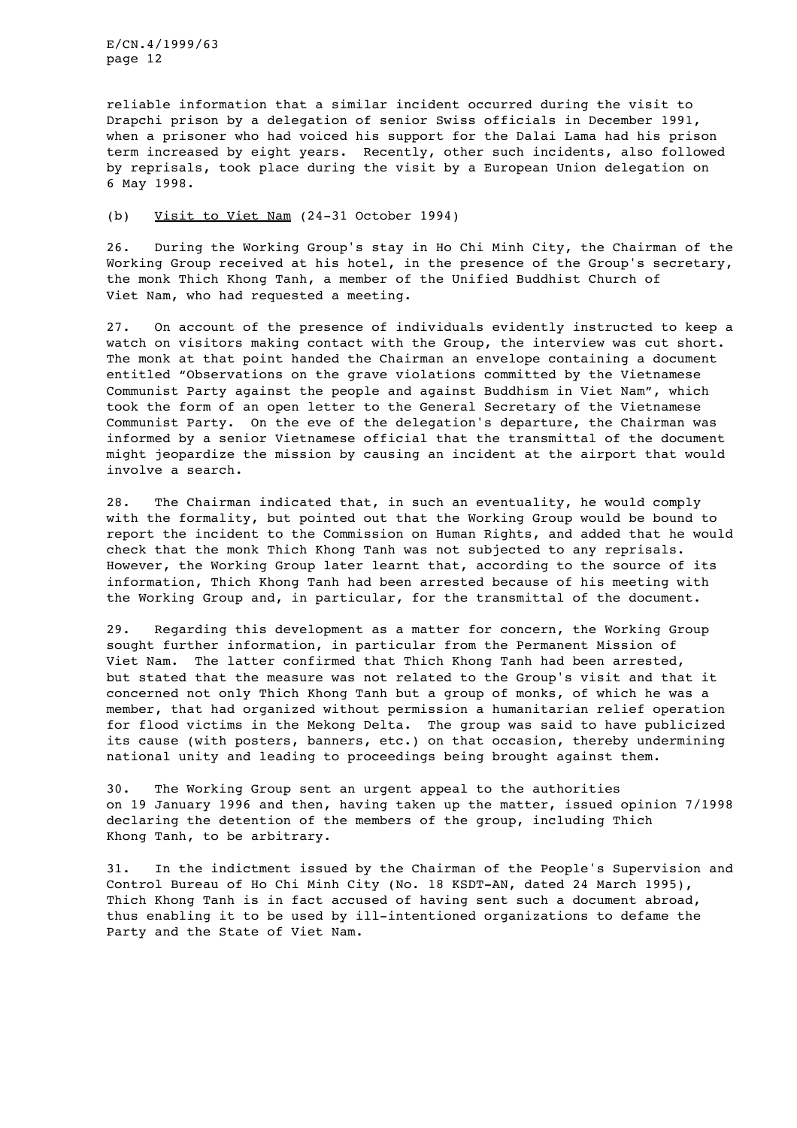reliable information that a similar incident occurred during the visit to Drapchi prison by a delegation of senior Swiss officials in December 1991, when a prisoner who had voiced his support for the Dalai Lama had his prison term increased by eight years. Recently, other such incidents, also followed by reprisals, took place during the visit by a European Union delegation on 6 May 1998.

## (b) Visit to Viet Nam (24-31 October 1994)

26. During the Working Group's stay in Ho Chi Minh City, the Chairman of the Working Group received at his hotel, in the presence of the Group's secretary, the monk Thich Khong Tanh, a member of the Unified Buddhist Church of Viet Nam, who had requested a meeting.

27. On account of the presence of individuals evidently instructed to keep a watch on visitors making contact with the Group, the interview was cut short. The monk at that point handed the Chairman an envelope containing a document entitled "Observations on the grave violations committed by the Vietnamese Communist Party against the people and against Buddhism in Viet Nam", which took the form of an open letter to the General Secretary of the Vietnamese Communist Party. On the eve of the delegation's departure, the Chairman was informed by a senior Vietnamese official that the transmittal of the document might jeopardize the mission by causing an incident at the airport that would involve a search.

28. The Chairman indicated that, in such an eventuality, he would comply with the formality, but pointed out that the Working Group would be bound to report the incident to the Commission on Human Rights, and added that he would check that the monk Thich Khong Tanh was not subjected to any reprisals. However, the Working Group later learnt that, according to the source of its information, Thich Khong Tanh had been arrested because of his meeting with the Working Group and, in particular, for the transmittal of the document.

29. Regarding this development as a matter for concern, the Working Group sought further information, in particular from the Permanent Mission of Viet Nam. The latter confirmed that Thich Khong Tanh had been arrested, but stated that the measure was not related to the Group's visit and that it concerned not only Thich Khong Tanh but a group of monks, of which he was a member, that had organized without permission a humanitarian relief operation for flood victims in the Mekong Delta. The group was said to have publicized its cause (with posters, banners, etc.) on that occasion, thereby undermining national unity and leading to proceedings being brought against them.

30. The Working Group sent an urgent appeal to the authorities on 19 January 1996 and then, having taken up the matter, issued opinion 7/1998 declaring the detention of the members of the group, including Thich Khong Tanh, to be arbitrary.

31. In the indictment issued by the Chairman of the People's Supervision and Control Bureau of Ho Chi Minh City (No. 18 KSDT-AN, dated 24 March 1995), Thich Khong Tanh is in fact accused of having sent such a document abroad, thus enabling it to be used by ill-intentioned organizations to defame the Party and the State of Viet Nam.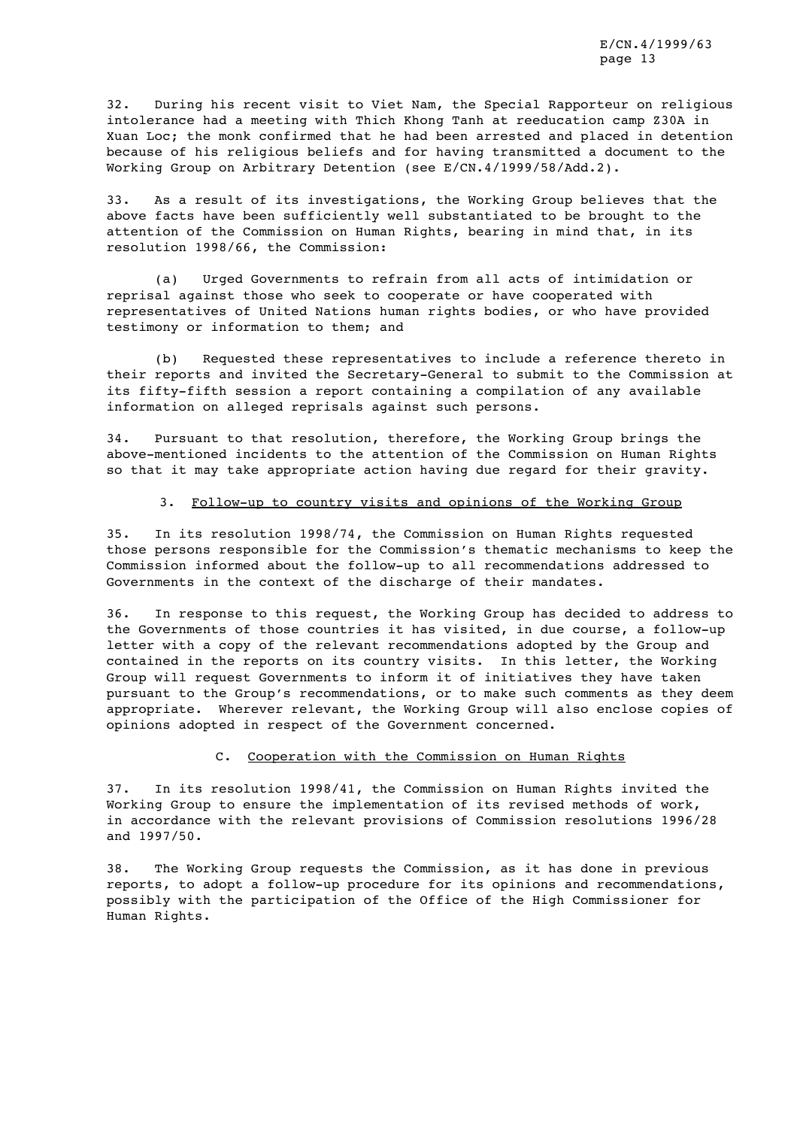32. During his recent visit to Viet Nam, the Special Rapporteur on religious intolerance had a meeting with Thich Khong Tanh at reeducation camp Z30A in Xuan Loc; the monk confirmed that he had been arrested and placed in detention because of his religious beliefs and for having transmitted a document to the Working Group on Arbitrary Detention (see E/CN.4/1999/58/Add.2).

33. As a result of its investigations, the Working Group believes that the above facts have been sufficiently well substantiated to be brought to the attention of the Commission on Human Rights, bearing in mind that, in its resolution 1998/66, the Commission:

(a) Urged Governments to refrain from all acts of intimidation or reprisal against those who seek to cooperate or have cooperated with representatives of United Nations human rights bodies, or who have provided testimony or information to them; and

(b) Requested these representatives to include a reference thereto in their reports and invited the Secretary-General to submit to the Commission at its fifty-fifth session a report containing a compilation of any available information on alleged reprisals against such persons.

34. Pursuant to that resolution, therefore, the Working Group brings the above-mentioned incidents to the attention of the Commission on Human Rights so that it may take appropriate action having due regard for their gravity.

#### 3. Follow-up to country visits and opinions of the Working Group

35. In its resolution 1998/74, the Commission on Human Rights requested those persons responsible for the Commission's thematic mechanisms to keep the Commission informed about the follow-up to all recommendations addressed to Governments in the context of the discharge of their mandates.

36. In response to this request, the Working Group has decided to address to the Governments of those countries it has visited, in due course, a follow-up letter with a copy of the relevant recommendations adopted by the Group and contained in the reports on its country visits. In this letter, the Working Group will request Governments to inform it of initiatives they have taken pursuant to the Group's recommendations, or to make such comments as they deem appropriate. Wherever relevant, the Working Group will also enclose copies of opinions adopted in respect of the Government concerned.

#### C. Cooperation with the Commission on Human Rights

37. In its resolution 1998/41, the Commission on Human Rights invited the Working Group to ensure the implementation of its revised methods of work, in accordance with the relevant provisions of Commission resolutions 1996/28 and 1997/50.

38. The Working Group requests the Commission, as it has done in previous reports, to adopt a follow-up procedure for its opinions and recommendations, possibly with the participation of the Office of the High Commissioner for Human Rights.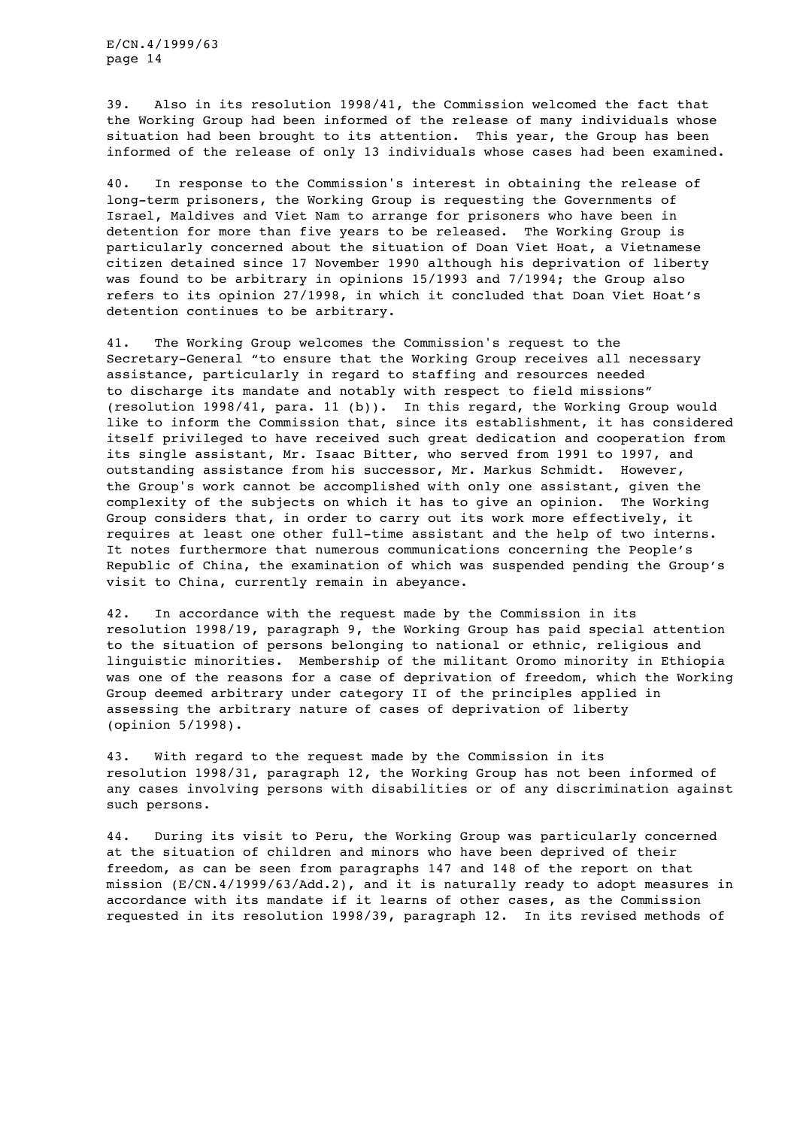39. Also in its resolution 1998/41, the Commission welcomed the fact that the Working Group had been informed of the release of many individuals whose situation had been brought to its attention. This year, the Group has been informed of the release of only 13 individuals whose cases had been examined.

40. In response to the Commission's interest in obtaining the release of long-term prisoners, the Working Group is requesting the Governments of Israel, Maldives and Viet Nam to arrange for prisoners who have been in detention for more than five years to be released. The Working Group is particularly concerned about the situation of Doan Viet Hoat, a Vietnamese citizen detained since 17 November 1990 although his deprivation of liberty was found to be arbitrary in opinions 15/1993 and 7/1994; the Group also refers to its opinion 27/1998, in which it concluded that Doan Viet Hoat's detention continues to be arbitrary.

41. The Working Group welcomes the Commission's request to the Secretary-General "to ensure that the Working Group receives all necessary assistance, particularly in regard to staffing and resources needed to discharge its mandate and notably with respect to field missions" (resolution 1998/41, para. 11 (b)). In this regard, the Working Group would like to inform the Commission that, since its establishment, it has considered itself privileged to have received such great dedication and cooperation from its single assistant, Mr. Isaac Bitter, who served from 1991 to 1997, and outstanding assistance from his successor, Mr. Markus Schmidt. However, the Group's work cannot be accomplished with only one assistant, given the complexity of the subjects on which it has to give an opinion. The Working Group considers that, in order to carry out its work more effectively, it requires at least one other full-time assistant and the help of two interns. It notes furthermore that numerous communications concerning the People's Republic of China, the examination of which was suspended pending the Group's visit to China, currently remain in abeyance.

42. In accordance with the request made by the Commission in its resolution 1998/19, paragraph 9, the Working Group has paid special attention to the situation of persons belonging to national or ethnic, religious and linguistic minorities. Membership of the militant Oromo minority in Ethiopia was one of the reasons for a case of deprivation of freedom, which the Working Group deemed arbitrary under category II of the principles applied in assessing the arbitrary nature of cases of deprivation of liberty (opinion 5/1998).

43. With regard to the request made by the Commission in its resolution 1998/31, paragraph 12, the Working Group has not been informed of any cases involving persons with disabilities or of any discrimination against such persons.

44. During its visit to Peru, the Working Group was particularly concerned at the situation of children and minors who have been deprived of their freedom, as can be seen from paragraphs 147 and 148 of the report on that mission (E/CN.4/1999/63/Add.2), and it is naturally ready to adopt measures in accordance with its mandate if it learns of other cases, as the Commission requested in its resolution 1998/39, paragraph 12. In its revised methods of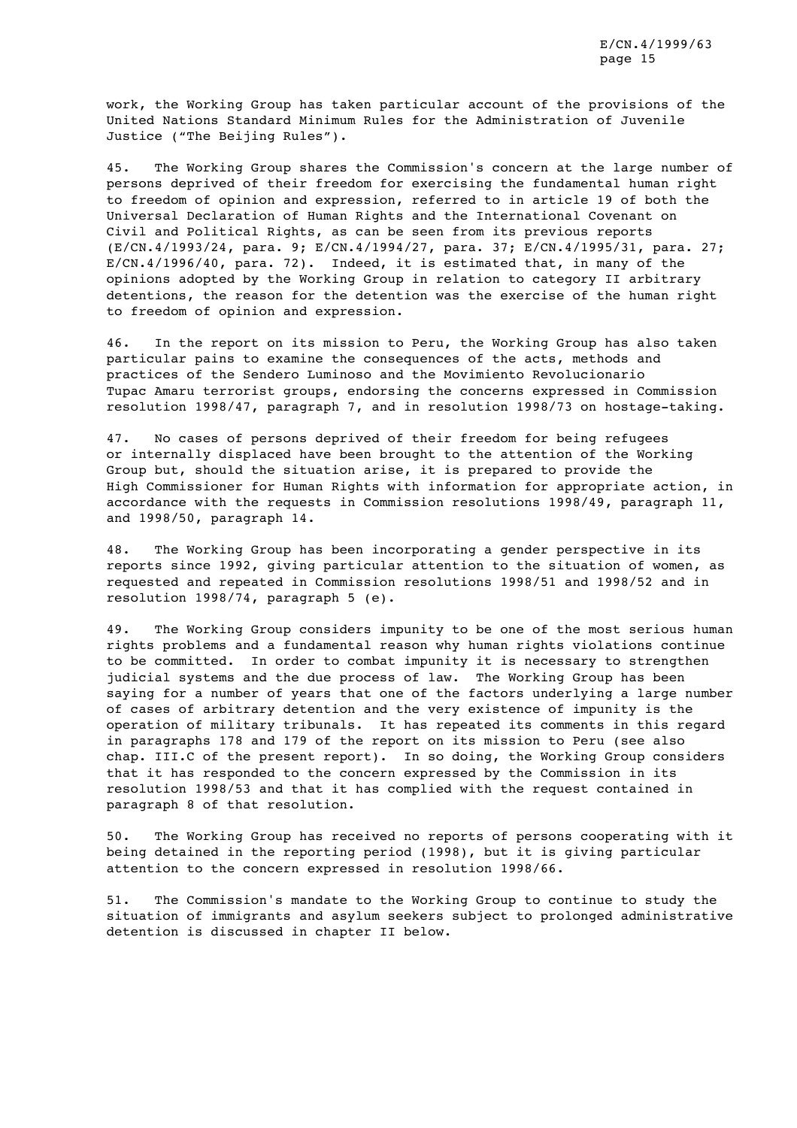work, the Working Group has taken particular account of the provisions of the United Nations Standard Minimum Rules for the Administration of Juvenile Justice ("The Beijing Rules").

45. The Working Group shares the Commission's concern at the large number of persons deprived of their freedom for exercising the fundamental human right to freedom of opinion and expression, referred to in article 19 of both the Universal Declaration of Human Rights and the International Covenant on Civil and Political Rights, as can be seen from its previous reports (E/CN.4/1993/24, para. 9; E/CN.4/1994/27, para. 37; E/CN.4/1995/31, para. 27; E/CN.4/1996/40, para. 72). Indeed, it is estimated that, in many of the opinions adopted by the Working Group in relation to category II arbitrary detentions, the reason for the detention was the exercise of the human right to freedom of opinion and expression.

46. In the report on its mission to Peru, the Working Group has also taken particular pains to examine the consequences of the acts, methods and practices of the Sendero Luminoso and the Movimiento Revolucionario Tupac Amaru terrorist groups, endorsing the concerns expressed in Commission resolution 1998/47, paragraph 7, and in resolution 1998/73 on hostage-taking.

47. No cases of persons deprived of their freedom for being refugees or internally displaced have been brought to the attention of the Working Group but, should the situation arise, it is prepared to provide the High Commissioner for Human Rights with information for appropriate action, in accordance with the requests in Commission resolutions 1998/49, paragraph 11, and 1998/50, paragraph 14.

48. The Working Group has been incorporating a gender perspective in its reports since 1992, giving particular attention to the situation of women, as requested and repeated in Commission resolutions 1998/51 and 1998/52 and in resolution 1998/74, paragraph 5 (e).

49. The Working Group considers impunity to be one of the most serious human rights problems and a fundamental reason why human rights violations continue to be committed. In order to combat impunity it is necessary to strengthen judicial systems and the due process of law. The Working Group has been saying for a number of years that one of the factors underlying a large number of cases of arbitrary detention and the very existence of impunity is the operation of military tribunals. It has repeated its comments in this regard in paragraphs 178 and 179 of the report on its mission to Peru (see also chap. III.C of the present report). In so doing, the Working Group considers that it has responded to the concern expressed by the Commission in its resolution 1998/53 and that it has complied with the request contained in paragraph 8 of that resolution.

50. The Working Group has received no reports of persons cooperating with it being detained in the reporting period (1998), but it is giving particular attention to the concern expressed in resolution 1998/66.

51. The Commission's mandate to the Working Group to continue to study the situation of immigrants and asylum seekers subject to prolonged administrative detention is discussed in chapter II below.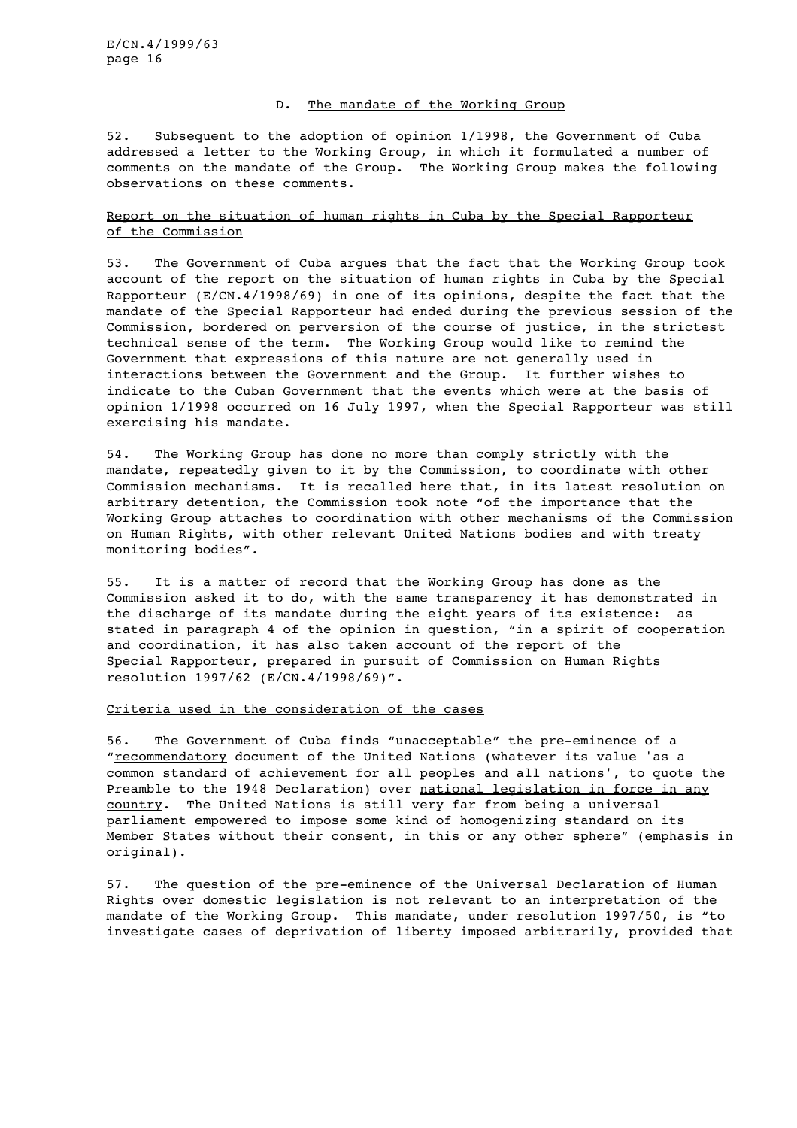#### D. The mandate of the Working Group

52. Subsequent to the adoption of opinion 1/1998, the Government of Cuba addressed a letter to the Working Group, in which it formulated a number of comments on the mandate of the Group. The Working Group makes the following observations on these comments.

## Report on the situation of human rights in Cuba by the Special Rapporteur of the Commission

53. The Government of Cuba argues that the fact that the Working Group took account of the report on the situation of human rights in Cuba by the Special Rapporteur (E/CN.4/1998/69) in one of its opinions, despite the fact that the mandate of the Special Rapporteur had ended during the previous session of the Commission, bordered on perversion of the course of justice, in the strictest technical sense of the term. The Working Group would like to remind the Government that expressions of this nature are not generally used in interactions between the Government and the Group. It further wishes to indicate to the Cuban Government that the events which were at the basis of opinion 1/1998 occurred on 16 July 1997, when the Special Rapporteur was still exercising his mandate.

54. The Working Group has done no more than comply strictly with the mandate, repeatedly given to it by the Commission, to coordinate with other Commission mechanisms. It is recalled here that, in its latest resolution on arbitrary detention, the Commission took note "of the importance that the Working Group attaches to coordination with other mechanisms of the Commission on Human Rights, with other relevant United Nations bodies and with treaty monitoring bodies".

55. It is a matter of record that the Working Group has done as the Commission asked it to do, with the same transparency it has demonstrated in the discharge of its mandate during the eight years of its existence: as stated in paragraph 4 of the opinion in question, "in a spirit of cooperation and coordination, it has also taken account of the report of the Special Rapporteur, prepared in pursuit of Commission on Human Rights resolution 1997/62 (E/CN.4/1998/69)".

#### Criteria used in the consideration of the cases

56. The Government of Cuba finds "unacceptable" the pre-eminence of a "recommendatory document of the United Nations (whatever its value 'as a common standard of achievement for all peoples and all nations', to quote the Preamble to the 1948 Declaration) over national legislation in force in any country. The United Nations is still very far from being a universal parliament empowered to impose some kind of homogenizing standard on its Member States without their consent, in this or any other sphere" (emphasis in original).

57. The question of the pre-eminence of the Universal Declaration of Human Rights over domestic legislation is not relevant to an interpretation of the mandate of the Working Group. This mandate, under resolution 1997/50, is "to investigate cases of deprivation of liberty imposed arbitrarily, provided that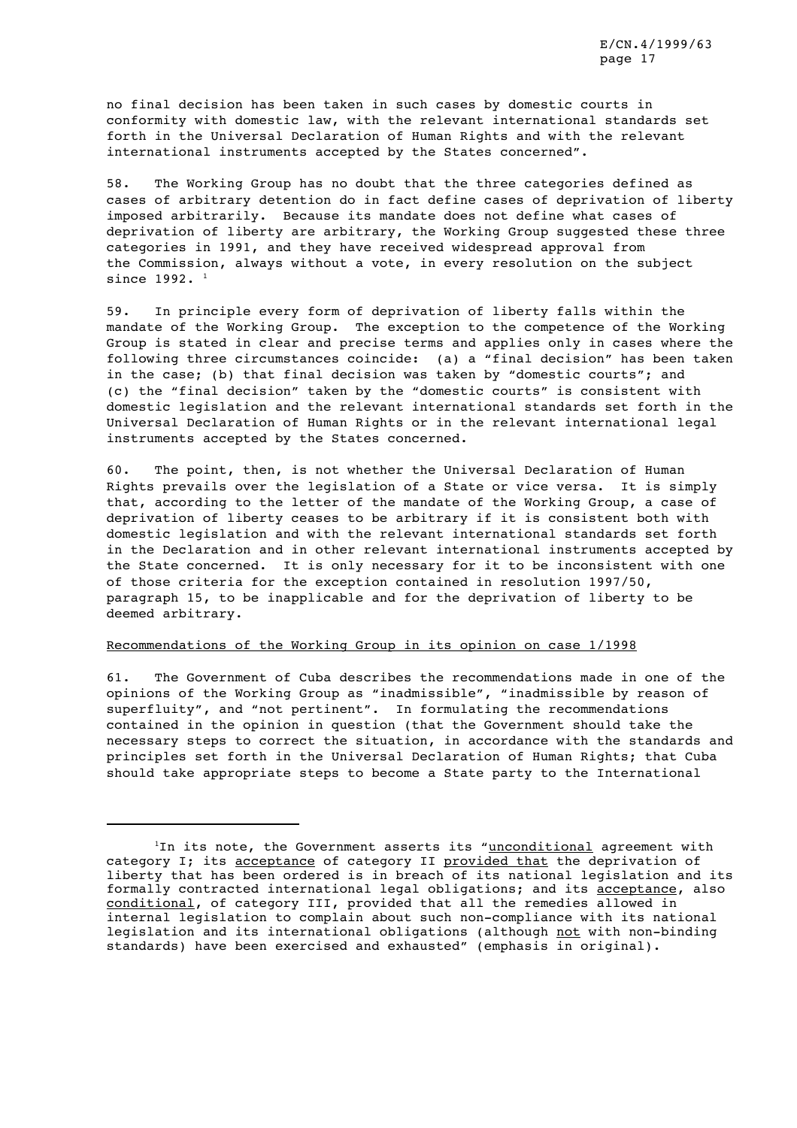no final decision has been taken in such cases by domestic courts in conformity with domestic law, with the relevant international standards set forth in the Universal Declaration of Human Rights and with the relevant international instruments accepted by the States concerned".

58. The Working Group has no doubt that the three categories defined as cases of arbitrary detention do in fact define cases of deprivation of liberty imposed arbitrarily. Because its mandate does not define what cases of deprivation of liberty are arbitrary, the Working Group suggested these three categories in 1991, and they have received widespread approval from the Commission, always without a vote, in every resolution on the subject since 1992. <sup>1</sup>

59. In principle every form of deprivation of liberty falls within the mandate of the Working Group. The exception to the competence of the Working Group is stated in clear and precise terms and applies only in cases where the following three circumstances coincide: (a) a "final decision" has been taken in the case; (b) that final decision was taken by "domestic courts"; and (c) the "final decision" taken by the "domestic courts" is consistent with domestic legislation and the relevant international standards set forth in the Universal Declaration of Human Rights or in the relevant international legal instruments accepted by the States concerned.

60. The point, then, is not whether the Universal Declaration of Human Rights prevails over the legislation of a State or vice versa. It is simply that, according to the letter of the mandate of the Working Group, a case of deprivation of liberty ceases to be arbitrary if it is consistent both with domestic legislation and with the relevant international standards set forth in the Declaration and in other relevant international instruments accepted by the State concerned. It is only necessary for it to be inconsistent with one of those criteria for the exception contained in resolution 1997/50, paragraph 15, to be inapplicable and for the deprivation of liberty to be deemed arbitrary.

#### Recommendations of the Working Group in its opinion on case 1/1998

61. The Government of Cuba describes the recommendations made in one of the opinions of the Working Group as "inadmissible", "inadmissible by reason of superfluity", and "not pertinent". In formulating the recommendations contained in the opinion in question (that the Government should take the necessary steps to correct the situation, in accordance with the standards and principles set forth in the Universal Declaration of Human Rights; that Cuba should take appropriate steps to become a State party to the International

 $1$ In its note, the Government asserts its "unconditional agreement with category I; its acceptance of category II provided that the deprivation of liberty that has been ordered is in breach of its national legislation and its formally contracted international legal obligations; and its acceptance, also conditional, of category III, provided that all the remedies allowed in internal legislation to complain about such non-compliance with its national legislation and its international obligations (although not with non-binding standards) have been exercised and exhausted" (emphasis in original).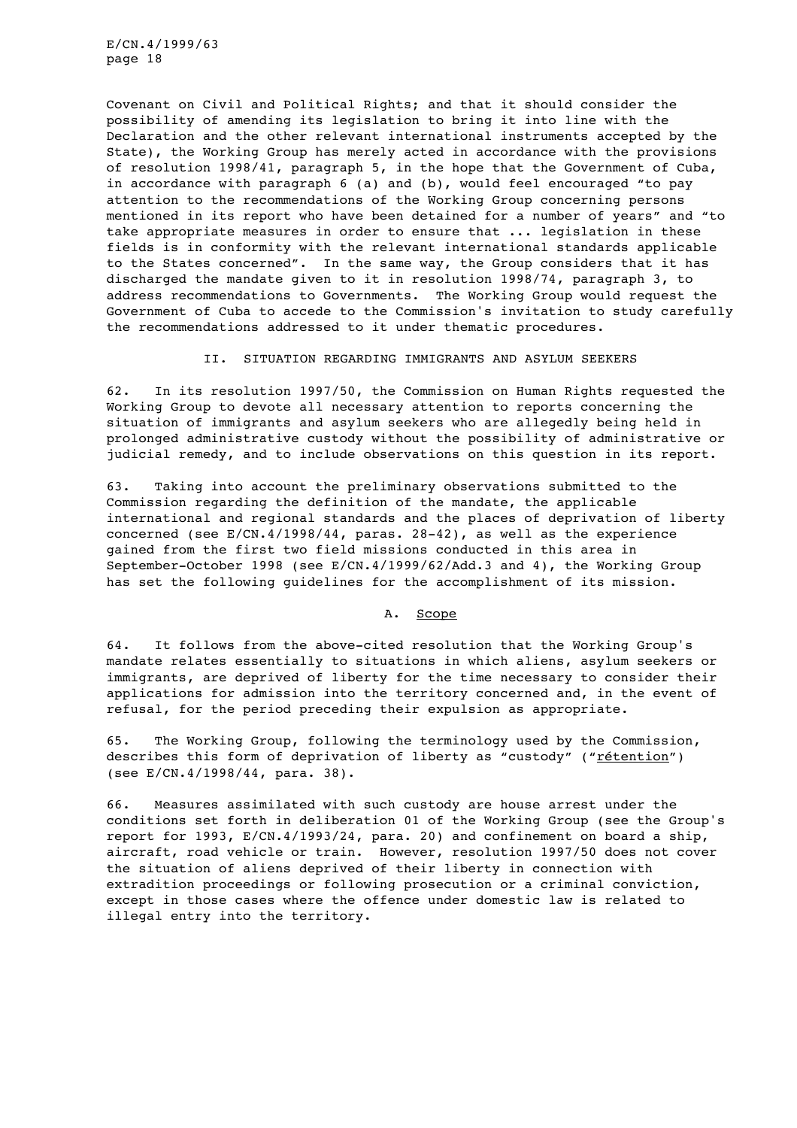Covenant on Civil and Political Rights; and that it should consider the possibility of amending its legislation to bring it into line with the Declaration and the other relevant international instruments accepted by the State), the Working Group has merely acted in accordance with the provisions of resolution 1998/41, paragraph 5, in the hope that the Government of Cuba, in accordance with paragraph 6 (a) and (b), would feel encouraged "to pay attention to the recommendations of the Working Group concerning persons mentioned in its report who have been detained for a number of years" and "to take appropriate measures in order to ensure that ... legislation in these fields is in conformity with the relevant international standards applicable to the States concerned". In the same way, the Group considers that it has discharged the mandate given to it in resolution 1998/74, paragraph 3, to address recommendations to Governments. The Working Group would request the Government of Cuba to accede to the Commission's invitation to study carefully the recommendations addressed to it under thematic procedures.

II. SITUATION REGARDING IMMIGRANTS AND ASYLUM SEEKERS

62. In its resolution 1997/50, the Commission on Human Rights requested the Working Group to devote all necessary attention to reports concerning the situation of immigrants and asylum seekers who are allegedly being held in prolonged administrative custody without the possibility of administrative or judicial remedy, and to include observations on this question in its report.

63. Taking into account the preliminary observations submitted to the Commission regarding the definition of the mandate, the applicable international and regional standards and the places of deprivation of liberty concerned (see E/CN.4/1998/44, paras. 28-42), as well as the experience gained from the first two field missions conducted in this area in September-October 1998 (see E/CN.4/1999/62/Add.3 and 4), the Working Group has set the following guidelines for the accomplishment of its mission.

A. Scope

64. It follows from the above-cited resolution that the Working Group's mandate relates essentially to situations in which aliens, asylum seekers or immigrants, are deprived of liberty for the time necessary to consider their applications for admission into the territory concerned and, in the event of refusal, for the period preceding their expulsion as appropriate.

65. The Working Group, following the terminology used by the Commission, describes this form of deprivation of liberty as "custody" ("rétention") (see E/CN.4/1998/44, para. 38).

66. Measures assimilated with such custody are house arrest under the conditions set forth in deliberation 01 of the Working Group (see the Group's report for 1993, E/CN.4/1993/24, para. 20) and confinement on board a ship, aircraft, road vehicle or train. However, resolution 1997/50 does not cover the situation of aliens deprived of their liberty in connection with extradition proceedings or following prosecution or a criminal conviction, except in those cases where the offence under domestic law is related to illegal entry into the territory.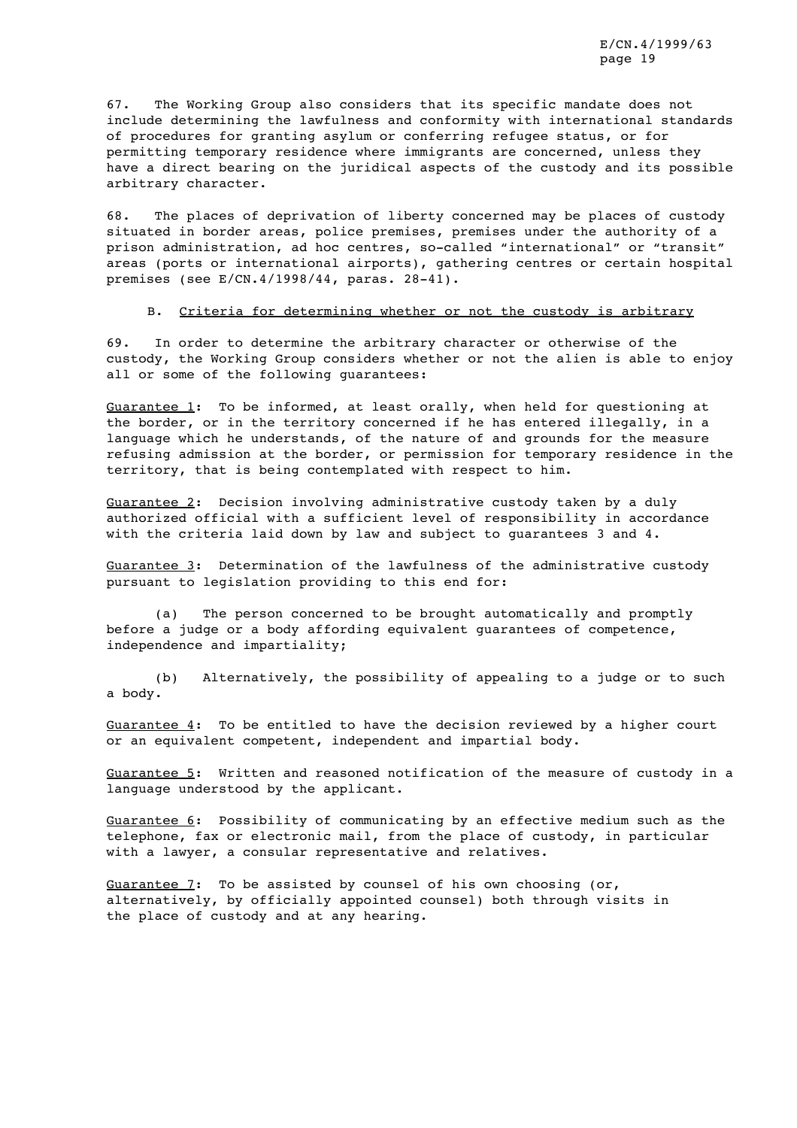67. The Working Group also considers that its specific mandate does not include determining the lawfulness and conformity with international standards of procedures for granting asylum or conferring refugee status, or for permitting temporary residence where immigrants are concerned, unless they have a direct bearing on the juridical aspects of the custody and its possible arbitrary character.

68. The places of deprivation of liberty concerned may be places of custody situated in border areas, police premises, premises under the authority of a prison administration, ad hoc centres, so-called "international" or "transit" areas (ports or international airports), gathering centres or certain hospital premises (see E/CN.4/1998/44, paras. 28-41).

B. Criteria for determining whether or not the custody is arbitrary

69. In order to determine the arbitrary character or otherwise of the custody, the Working Group considers whether or not the alien is able to enjoy all or some of the following guarantees:

Guarantee 1: To be informed, at least orally, when held for questioning at the border, or in the territory concerned if he has entered illegally, in a language which he understands, of the nature of and grounds for the measure refusing admission at the border, or permission for temporary residence in the territory, that is being contemplated with respect to him.

Guarantee 2: Decision involving administrative custody taken by a duly authorized official with a sufficient level of responsibility in accordance with the criteria laid down by law and subject to guarantees 3 and 4.

Guarantee 3: Determination of the lawfulness of the administrative custody pursuant to legislation providing to this end for:

(a) The person concerned to be brought automatically and promptly before a judge or a body affording equivalent guarantees of competence, independence and impartiality;

(b) Alternatively, the possibility of appealing to a judge or to such a body.

Guarantee 4: To be entitled to have the decision reviewed by a higher court or an equivalent competent, independent and impartial body.

Guarantee 5: Written and reasoned notification of the measure of custody in a language understood by the applicant.

Guarantee 6: Possibility of communicating by an effective medium such as the telephone, fax or electronic mail, from the place of custody, in particular with a lawyer, a consular representative and relatives.

Guarantee  $7:$  To be assisted by counsel of his own choosing (or, alternatively, by officially appointed counsel) both through visits in the place of custody and at any hearing.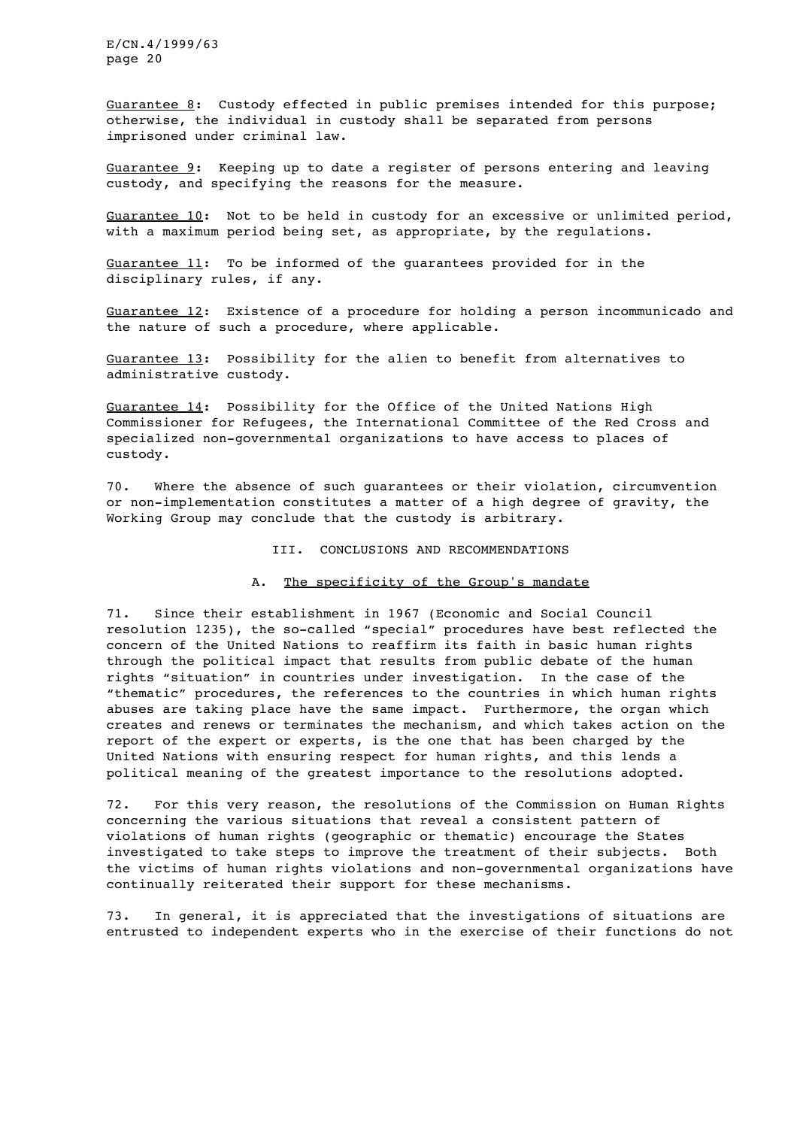Guarantee 8: Custody effected in public premises intended for this purpose; otherwise, the individual in custody shall be separated from persons imprisoned under criminal law.

Guarantee 9: Keeping up to date a register of persons entering and leaving custody, and specifying the reasons for the measure.

Guarantee 10: Not to be held in custody for an excessive or unlimited period, with a maximum period being set, as appropriate, by the regulations.

Guarantee 11: To be informed of the guarantees provided for in the disciplinary rules, if any.

Guarantee 12: Existence of a procedure for holding a person incommunicado and the nature of such a procedure, where applicable.

Guarantee 13: Possibility for the alien to benefit from alternatives to administrative custody.

Guarantee 14: Possibility for the Office of the United Nations High Commissioner for Refugees, the International Committee of the Red Cross and specialized non-governmental organizations to have access to places of custody.

70. Where the absence of such guarantees or their violation, circumvention or non-implementation constitutes a matter of a high degree of gravity, the Working Group may conclude that the custody is arbitrary.

## III. CONCLUSIONS AND RECOMMENDATIONS

#### A. The specificity of the Group's mandate

71. Since their establishment in 1967 (Economic and Social Council resolution 1235), the so-called "special" procedures have best reflected the concern of the United Nations to reaffirm its faith in basic human rights through the political impact that results from public debate of the human rights "situation" in countries under investigation. In the case of the "thematic" procedures, the references to the countries in which human rights abuses are taking place have the same impact. Furthermore, the organ which creates and renews or terminates the mechanism, and which takes action on the report of the expert or experts, is the one that has been charged by the United Nations with ensuring respect for human rights, and this lends a political meaning of the greatest importance to the resolutions adopted.

72. For this very reason, the resolutions of the Commission on Human Rights concerning the various situations that reveal a consistent pattern of violations of human rights (geographic or thematic) encourage the States investigated to take steps to improve the treatment of their subjects. Both the victims of human rights violations and non-governmental organizations have continually reiterated their support for these mechanisms.

73. In general, it is appreciated that the investigations of situations are entrusted to independent experts who in the exercise of their functions do not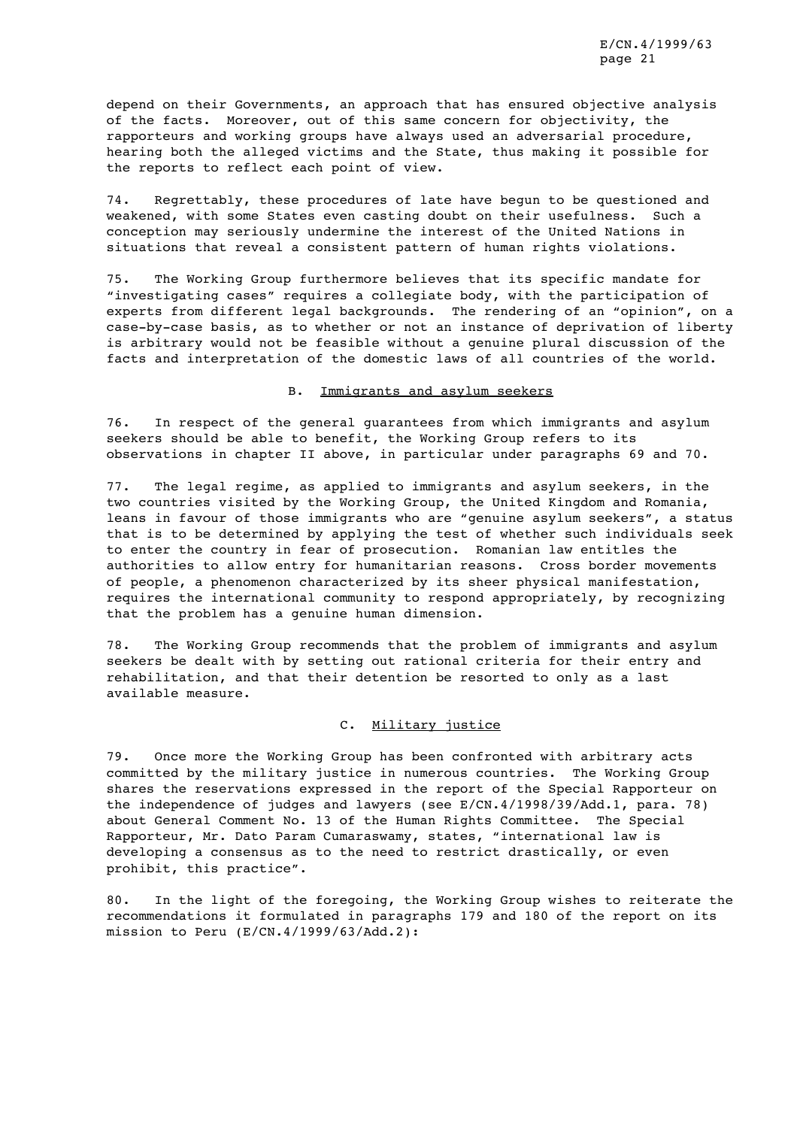depend on their Governments, an approach that has ensured objective analysis of the facts. Moreover, out of this same concern for objectivity, the rapporteurs and working groups have always used an adversarial procedure, hearing both the alleged victims and the State, thus making it possible for the reports to reflect each point of view.

74. Regrettably, these procedures of late have begun to be questioned and weakened, with some States even casting doubt on their usefulness. Such a conception may seriously undermine the interest of the United Nations in situations that reveal a consistent pattern of human rights violations.

75. The Working Group furthermore believes that its specific mandate for "investigating cases" requires a collegiate body, with the participation of experts from different legal backgrounds. The rendering of an "opinion", on a case-by-case basis, as to whether or not an instance of deprivation of liberty is arbitrary would not be feasible without a genuine plural discussion of the facts and interpretation of the domestic laws of all countries of the world.

#### B. Immigrants and asylum seekers

76. In respect of the general guarantees from which immigrants and asylum seekers should be able to benefit, the Working Group refers to its observations in chapter II above, in particular under paragraphs 69 and 70.

77. The legal regime, as applied to immigrants and asylum seekers, in the two countries visited by the Working Group, the United Kingdom and Romania, leans in favour of those immigrants who are "genuine asylum seekers", a status that is to be determined by applying the test of whether such individuals seek to enter the country in fear of prosecution. Romanian law entitles the authorities to allow entry for humanitarian reasons. Cross border movements of people, a phenomenon characterized by its sheer physical manifestation, requires the international community to respond appropriately, by recognizing that the problem has a genuine human dimension.

78. The Working Group recommends that the problem of immigrants and asylum seekers be dealt with by setting out rational criteria for their entry and rehabilitation, and that their detention be resorted to only as a last available measure.

## C. Military justice

79. Once more the Working Group has been confronted with arbitrary acts committed by the military justice in numerous countries. The Working Group shares the reservations expressed in the report of the Special Rapporteur on the independence of judges and lawyers (see E/CN.4/1998/39/Add.1, para. 78) about General Comment No. 13 of the Human Rights Committee. The Special Rapporteur, Mr. Dato Param Cumaraswamy, states, "international law is developing a consensus as to the need to restrict drastically, or even prohibit, this practice".

80. In the light of the foregoing, the Working Group wishes to reiterate the recommendations it formulated in paragraphs 179 and 180 of the report on its mission to Peru (E/CN.4/1999/63/Add.2):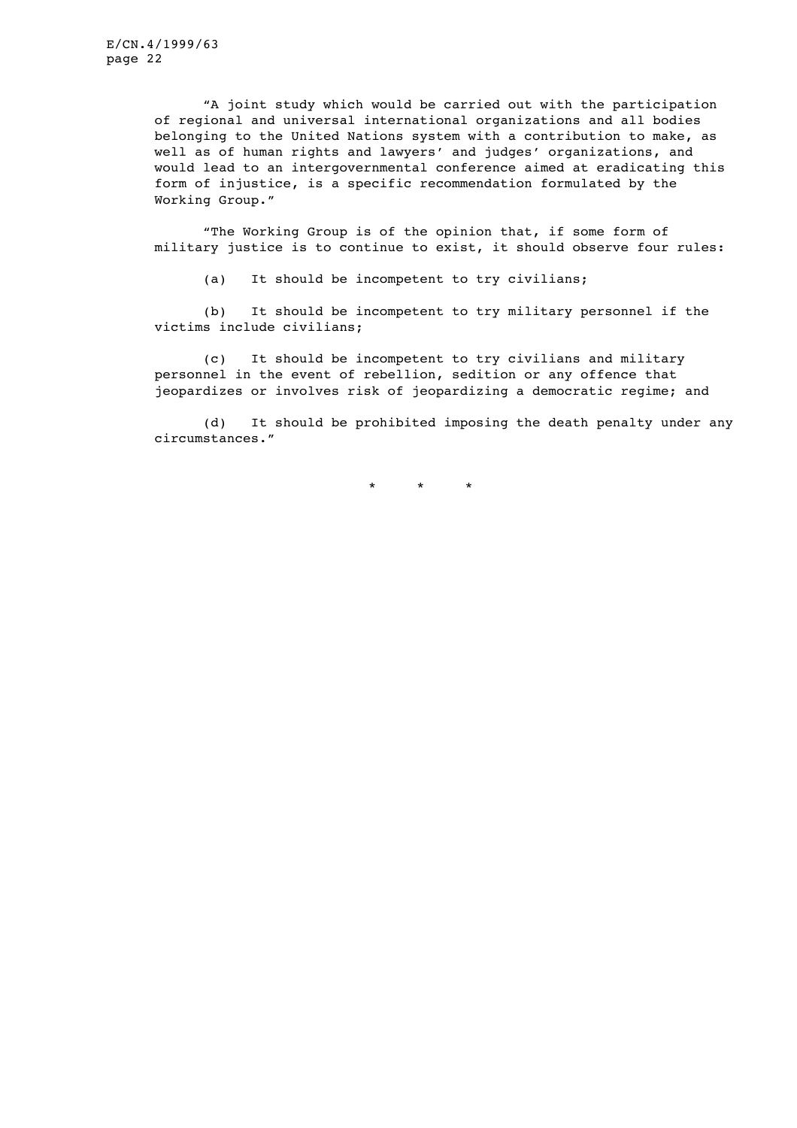> "A joint study which would be carried out with the participation of regional and universal international organizations and all bodies belonging to the United Nations system with a contribution to make, as well as of human rights and lawyers' and judges' organizations, and would lead to an intergovernmental conference aimed at eradicating this form of injustice, is a specific recommendation formulated by the Working Group."

> "The Working Group is of the opinion that, if some form of military justice is to continue to exist, it should observe four rules:

(a) It should be incompetent to try civilians;

(b) It should be incompetent to try military personnel if the victims include civilians;

(c) It should be incompetent to try civilians and military personnel in the event of rebellion, sedition or any offence that jeopardizes or involves risk of jeopardizing a democratic regime; and

(d) It should be prohibited imposing the death penalty under any circumstances."

\* \* \*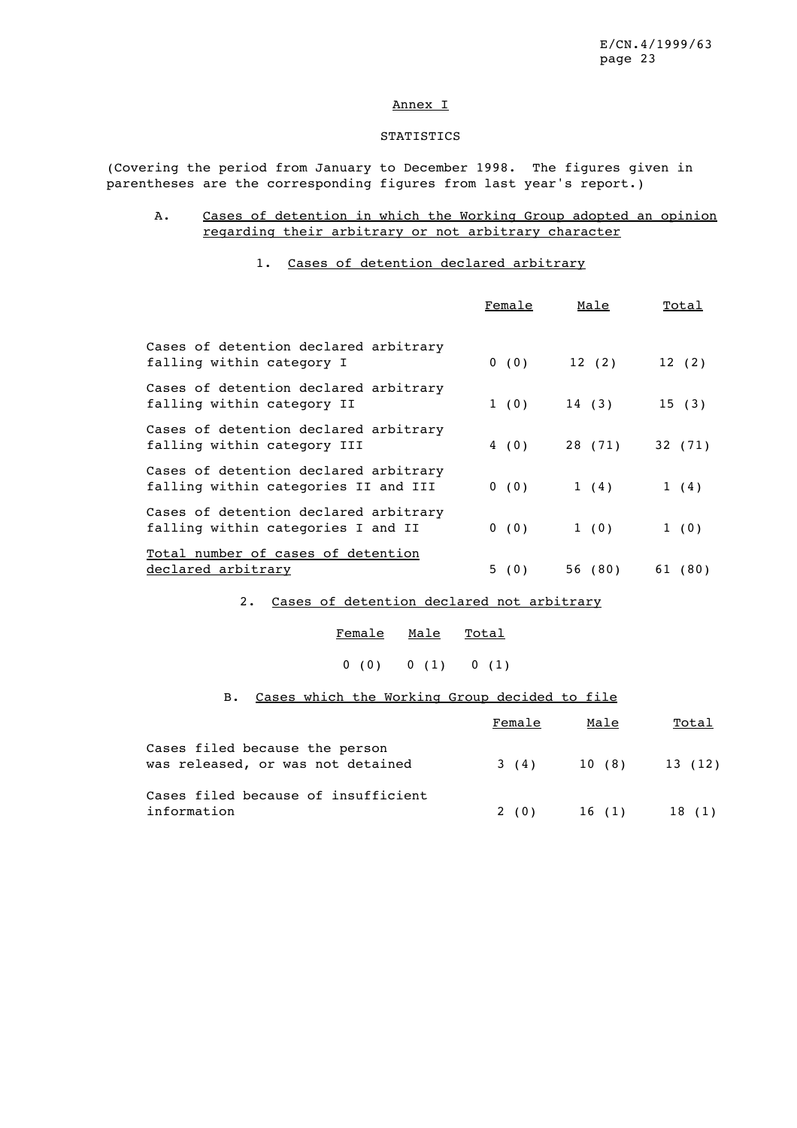#### Annex I

### **STATISTICS**

(Covering the period from January to December 1998. The figures given in parentheses are the corresponding figures from last year's report.)

# A. Cases of detention in which the Working Group adopted an opinion regarding their arbitrary or not arbitrary character

# 1. Cases of detention declared arbitrary

|                                                                               | Female | Male    | Total   |
|-------------------------------------------------------------------------------|--------|---------|---------|
| Cases of detention declared arbitrary<br>falling within category I            | 0(0)   | 12(2)   | 12(2)   |
| Cases of detention declared arbitrary<br>falling within category II           | 1(0)   | 14 (3)  | 15(3)   |
| Cases of detention declared arbitrary<br>falling within category III          | 4 (0)  | 28 (71) | 32 (71) |
| Cases of detention declared arbitrary<br>falling within categories II and III | 0(0)   | 1(4)    | 1(4)    |
| Cases of detention declared arbitrary<br>falling within categories I and II   | 0(0)   | 1(0)    | 1(0)    |
| Total number of cases of detention<br>declared arbitrary                      | 5 (0)  | 56 (80) | 61 (80) |

#### 2. Cases of detention declared not arbitrary

| Female | Male | Total |
|--------|------|-------|
|        |      |       |

# $0 (0) 0 (1) 0 (1)$

# B. Cases which the Working Group decided to file

|                                                                     | Female | Male   | Total            |
|---------------------------------------------------------------------|--------|--------|------------------|
| Cases filed because the person<br>was released, or was not detained | 3 (4)  |        | $10(8)$ $13(12)$ |
| Cases filed because of insufficient<br>information                  | 2 (0)  | 16 (1) | 18 (1)           |